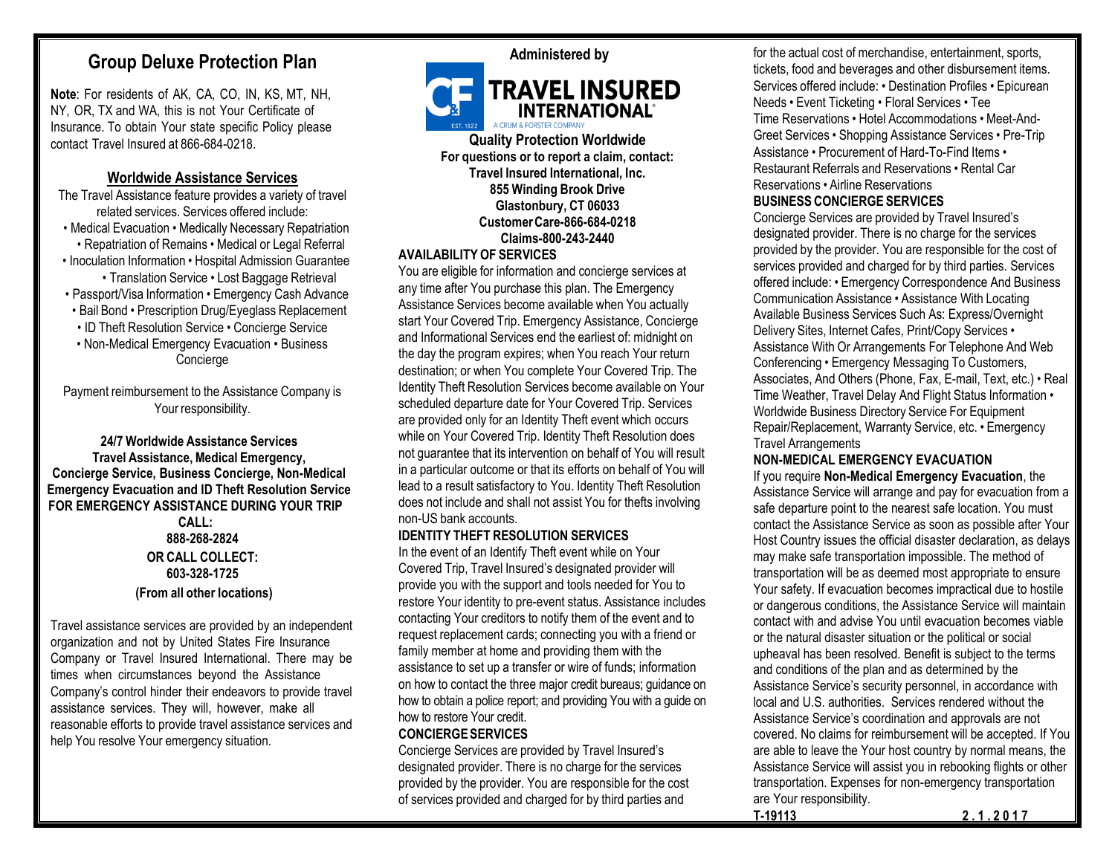# **Group Deluxe Protection Plan**

**Note**: For residents of AK, CA, CO, IN, KS, MT, NH, NY, OR, TX and WA, this is not Your Certificate of Insurance. To obtain Your state specific Policy please contact Travel Insured at 866-684-0218.

## **Worldwide Assistance Services**

The Travel Assistance feature provides a variety of travel related services. Services offered include: • Medical Evacuation • Medically Necessary Repatriation • Repatriation of Remains • Medical or Legal Referral • Inoculation Information • Hospital Admission Guarantee

- Translation Service Lost Baggage Retrieval
- Passport/Visa Information Emergency Cash Advance
- Bail Bond Prescription Drug/Eyeglass Replacement
- ID Theft Resolution Service Concierge Service
- Non-Medical Emergency Evacuation Business Concierge

Payment reimbursement to the Assistance Company is Your responsibility.

#### **24/7 Worldwide Assistance Services Travel Assistance,Medical Emergency, Concierge Service, Business Concierge, Non-Medical Emergency Evacuation and ID Theft Resolution Service FOR EMERGENCY ASSISTANCE DURING YOUR TRIP**

**CALL: 888-268-2824 OR CALL COLLECT: 603-328-1725 (From all other locations)**

Travel assistance services are provided by an independent organization and not by United States Fire Insurance Company or Travel Insured International. There may be times when circumstances beyond the Assistance Company's control hinder their endeavors to provide travel assistance services. They will, however, make all reasonable efforts to provide travel assistance services and help You resolve Your emergency situation.



# **Administered by**



**For questions or to report a claim, contact: Travel Insured International, Inc. 855 Winding Brook Drive Glastonbury, CT 06033 CustomerCare-866-684-0218 Claims-800-243-2440**

## **AVAILABILITY OF SERVICES**

You are eligible for information and concierge services at any time after You purchase this plan. The Emergency Assistance Services become available when You actually start Your Covered Trip. Emergency Assistance, Concierge and Informational Services end the earliest of: midnight on the day the program expires; when You reach Your return destination; or when You complete Your Covered Trip. The Identity Theft Resolution Services become available on Your scheduled departure date for Your Covered Trip. Services are provided only for an Identity Theft event which occurs while on Your Covered Trip. Identity Theft Resolution does not guarantee that its intervention on behalf of You will result in a particular outcome or that its efforts on behalf of You will lead to a result satisfactory to You. Identity Theft Resolution does not include and shall not assist You for thefts involving non-US bank accounts.

## **IDENTITY THEFT RESOLUTION SERVICES**

In the event of an Identify Theft event while on Your Covered Trip, Travel Insured's designated provider will provide you with the support and tools needed for You to restore Your identity to pre-event status. Assistance includes contacting Your creditors to notify them of the event and to request replacement cards; connecting you with a friend or family member at home and providing them with the assistance to set up a transfer or wire of funds; information on how to contact the three major credit bureaus; guidance on how to obtain a police report; and providing You with a guide on how to restore Your credit.

#### **CONCIERGE SERVICES**

Concierge Services are provided by Travel Insured's designated provider. There is no charge for the services provided by the provider. You are responsible for the cost of services provided and charged for by third parties and

for the actual cost of merchandise, entertainment, sports, tickets, food and beverages and other disbursement items. Services offered include: • Destination Profiles • Epicurean Needs • Event Ticketing • Floral Services • Tee Time Reservations • Hotel Accommodations • Meet-And-Greet Services • Shopping Assistance Services • Pre-Trip Assistance • Procurement of Hard-To-Find Items • Restaurant Referrals and Reservations • Rental Car Reservations • Airline Reservations

## **BUSINESS CONCIERGE SERVICES**

Concierge Services are provided by Travel Insured's designated provider. There is no charge for the services provided by the provider. You are responsible for the cost of services provided and charged for by third parties. Services offered include: • Emergency Correspondence And Business Communication Assistance • Assistance With Locating Available Business Services Such As: Express/Overnight Delivery Sites, Internet Cafes, Print/Copy Services • Assistance With Or Arrangements For Telephone And Web Conferencing • Emergency Messaging To Customers, Associates, And Others (Phone, Fax, E-mail, Text, etc.) • Real Time Weather, Travel Delay And Flight Status Information • Worldwide Business Directory Service For Equipment Repair/Replacement, Warranty Service, etc. • Emergency Travel Arrangements

#### **NON-MEDICAL EMERGENCY EVACUATION**

If you require **Non-Medical Emergency Evacuation**, the Assistance Service will arrange and pay for evacuation from a safe departure point to the nearest safe location. You must contact the Assistance Service as soon as possible after Your Host Country issues the official disaster declaration, as delays may make safe transportation impossible. The method of transportation will be as deemed most appropriate to ensure Your safety. If evacuation becomes impractical due to hostile or dangerous conditions, the Assistance Service will maintain contact with and advise You until evacuation becomes viable or the natural disaster situation or the political or social upheaval has been resolved. Benefit is subject to the terms and conditions of the plan and as determined by the Assistance Service's security personnel, in accordance with local and U.S. authorities. Services rendered without the Assistance Service's coordination and approvals are not covered. No claims for reimbursement will be accepted. If You are able to leave the Your host country by normal means, the Assistance Service will assist you in rebooking flights or other transportation. Expenses for non-emergency transportation are Your responsibility.

**T-19113 2 . 1 . 2 0 1 7**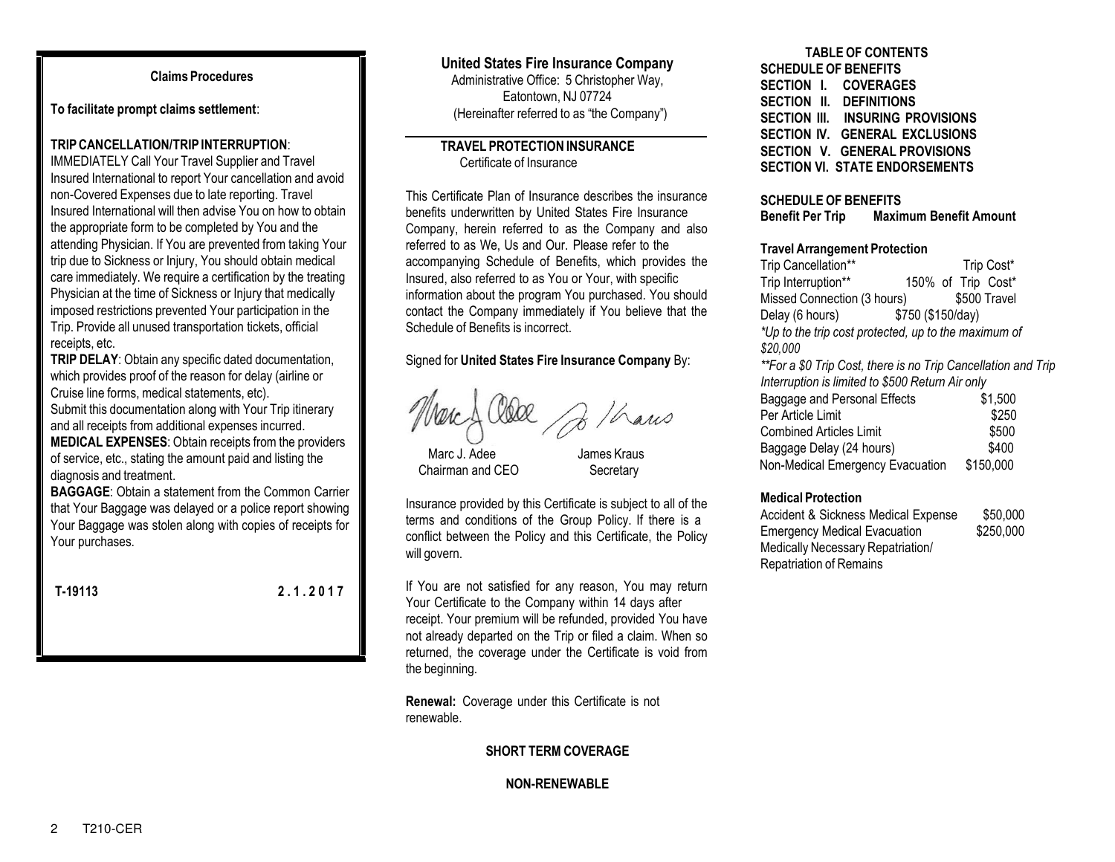**To facilitate prompt claims settlement**:

#### **TRIP CANCELLATION/TRIP INTERRUPTION**:

IMMEDIATELY Call Your Travel Supplier and Travel Insured International to report Your cancellation and avoid non-Covered Expenses due to late reporting. Travel Insured International will then advise You on how to obtain the appropriate form to be completed by You and the attending Physician. If You are prevented from taking Your trip due to Sickness or Injury, You should obtain medical care immediately. We require a certification by the treating Physician at the time of Sickness or Injury that medically imposed restrictions prevented Your participation in the Trip. Provide all unused transportation tickets, official receipts, etc.

**TRIP DELAY**: Obtain any specific dated documentation, which provides proof of the reason for delay (airline or Cruise line forms, medical statements, etc). Submit this documentation along with Your Trip itinerary and all receipts from additional expenses incurred. **MEDICAL EXPENSES**: Obtain receipts from the providers of service, etc., stating the amount paid and listing the diagnosis and treatment.

**BAGGAGE**: Obtain a statement from the Common Carrier that Your Baggage was delayed or a police report showing Your Baggage was stolen along with copies of receipts for Your purchases.

**T-19113 2 . 1 . 2 0 1 7**

## **United States Fire Insurance Company**

Administrative Office: 5 Christopher Way, Eatontown, NJ 07724 (Hereinafter referred to as "the Company")

## **TRAVEL PROTECTION INSURANCE** Certificate of Insurance

This Certificate Plan of Insurance describes the insurance benefits underwritten by United States Fire Insurance Company, herein referred to as the Company and also referred to as We, Us and Our. Please refer to the accompanying Schedule of Benefits, which provides the Insured, also referred to as You or Your, with specific information about the program You purchased. You should contact the Company immediately if You believe that the Schedule of Benefits is incorrect.

Signed for **United States Fire Insurance Company** By:

16 ans

Marc J. Adee James Kraus Chairman and CEO Secretary

Insurance provided by this Certificate is subject to all of the terms and conditions of the Group Policy. If there is a conflict between the Policy and this Certificate, the Policy will govern.

If You are not satisfied for any reason, You may return Your Certificate to the Company within 14 days after receipt. Your premium will be refunded, provided You have not already departed on the Trip or filed a claim. When so returned, the coverage under the Certificate is void from the beginning.

**Renewal:** Coverage under this Certificate is not renewable.

**SHORT TERM COVERAGE**

#### **NON-RENEWABLE**

#### **TABLE OF CONTENTS SCHEDULE OF BENEFITS SECTION I. COVERAGES SECTION II. DEFINITIONS SECTION III. INSURING PROVISIONS SECTION IV. GENERAL EXCLUSIONS**

**SECTION V. GENERAL PROVISIONS SECTION VI. STATE ENDORSEMENTS**

#### **SCHEDULE OF BENEFITS**

**Benefit Per Trip Maximum Benefit Amount**

#### **Travel Arrangement Protection**

Trip Cancellation\*\* Trip Cost\* Trip Interruption\*\* 150% of Trip Cost\* Missed Connection (3 hours) \$500 Travel Delay (6 hours) \$750 (\$150/day) *\*Up to the trip cost protected, up to the maximum of \$20,000 \*\*For a \$0 Trip Cost, there is no Trip Cancellation and Trip Interruption is limited to \$500 Return Air only*

| Baggage and Personal Effects     | \$1,500   |
|----------------------------------|-----------|
| Per Article Limit                | \$250     |
| <b>Combined Articles Limit</b>   | \$500     |
| Baggage Delay (24 hours)         | \$400     |
| Non-Medical Emergency Evacuation | \$150,000 |

#### **Medical Protection**

Accident & Sickness Medical Expense \$50,000 Emergency Medical Evacuation \$250,000 Medically Necessary Repatriation/ Repatriation of Remains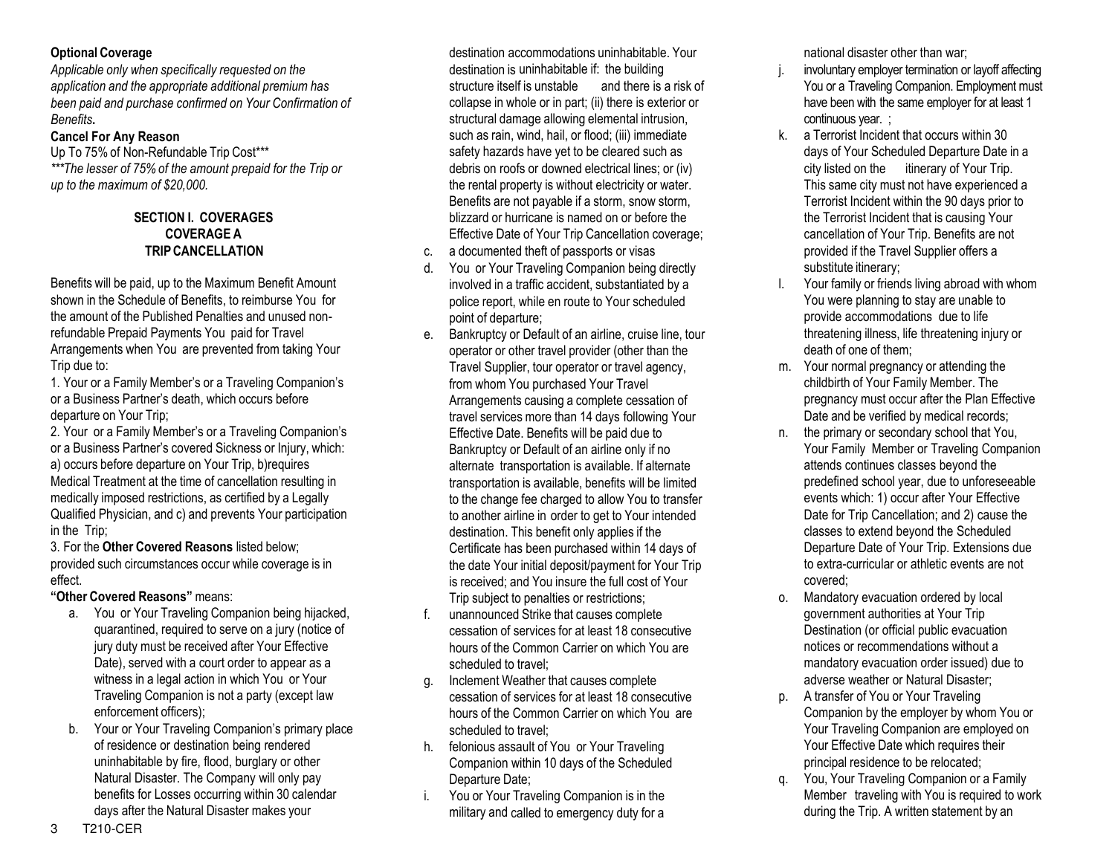## **Optional Coverage**

*Applicable only when specifically requested on the application and the appropriate additional premium has been paid and purchase confirmed on Your Confirmation of Benefits***.**

## **Cancel For Any Reason**

Up To 75% of Non-Refundable Trip Cost\*\*\* *\*\*\*The lesser of 75% of the amount prepaid for the Trip or up to the maximum of \$20,000.* 

#### **SECTION I. COVERAGES COVERAGE A TRIP CANCELLATION**

Benefits will be paid, up to the Maximum Benefit Amount shown in the Schedule of Benefits, to reimburse You for the amount of the Published Penalties and unused nonrefundable Prepaid Payments You paid for Travel Arrangements when You are prevented from taking Your Trip due to:

1. Your or a Family Member's or a Traveling Companion's or a Business Partner's death, which occurs before departure on Your Trip;

2. Your or a Family Member's or a Traveling Companion's or a Business Partner's covered Sickness or Injury, which: a) occurs before departure on Your Trip, b)requires Medical Treatment at the time of cancellation resulting in medically imposed restrictions, as certified by a Legally Qualified Physician, and c) and prevents Your participation in the Trip;

3. For the **Other Covered Reasons** listed below; provided such circumstances occur while coverage is in effect.

## **"Other Covered Reasons"** means:

- a. You or Your Traveling Companion being hijacked, quarantined, required to serve on a jury (notice of jury duty must be received after Your Effective Date), served with a court order to appear as a witness in a legal action in which You or Your Traveling Companion is not a party (except law enforcement officers);
- b. Your or Your Traveling Companion's primary place of residence or destination being rendered uninhabitable by fire, flood, burglary or other Natural Disaster. The Company will only pay benefits for Losses occurring within 30 calendar days after the Natural Disaster makes your

destination accommodations uninhabitable. Your destination is uninhabitable if: the building structure itself is unstable and there is a risk of collapse in whole or in part; (ii) there is exterior or structural damage allowing elemental intrusion, such as rain, wind, hail, or flood; (iii) immediate safety hazards have yet to be cleared such as debris on roofs or downed electrical lines; or (iv) the rental property is without electricity or water. Benefits are not payable if a storm, snow storm, blizzard or hurricane is named on or before the Effective Date of Your Trip Cancellation coverage;

- c. a documented theft of passports or visas
- d. You or Your Traveling Companion being directly involved in a traffic accident, substantiated by a police report, while en route to Your scheduled point of departure;
- e. Bankruptcy or Default of an airline, cruise line, tour operator or other travel provider (other than the Travel Supplier, tour operator or travel agency, from whom You purchased Your Travel Arrangements causing a complete cessation of travel services more than 14 days following Your Effective Date. Benefits will be paid due to Bankruptcy or Default of an airline only if no alternate transportation is available. If alternate transportation is available, benefits will be limited to the change fee charged to allow You to transfer to another airline in order to get to Your intended destination. This benefit only applies if the Certificate has been purchased within 14 days of the date Your initial deposit/payment for Your Trip is received; and You insure the full cost of Your Trip subject to penalties or restrictions;
- f. unannounced Strike that causes complete cessation of services for at least 18 consecutive hours of the Common Carrier on which You are scheduled to travel;
- g. Inclement Weather that causes complete cessation of services for at least 18 consecutive hours of the Common Carrier on which You are scheduled to travel;
- h. felonious assault of You or Your Traveling Companion within 10 days of the Scheduled Departure Date;
- i. You or Your Traveling Companion is in the military and called to emergency duty for a

national disaster other than war;

- j. involuntary employer termination or layoff affecting You or a Traveling Companion. Employment must have been with the same employer for at least 1 continuous year. ;
- k. a Terrorist Incident that occurs within 30 days of Your Scheduled Departure Date in a city listed on the itinerary of Your Trip. This same city must not have experienced a Terrorist Incident within the 90 days prior to the Terrorist Incident that is causing Your cancellation of Your Trip. Benefits are not provided if the Travel Supplier offers a substitute itinerary;
- Your family or friends living abroad with whom You were planning to stay are unable to provide accommodations due to life threatening illness, life threatening injury or death of one of them;
- m. Your normal pregnancy or attending the childbirth of Your Family Member. The pregnancy must occur after the Plan Effective Date and be verified by medical records;
- n. the primary or secondary school that You, Your Family Member or Traveling Companion attends continues classes beyond the predefined school year, due to unforeseeable events which: 1) occur after Your Effective Date for Trip Cancellation; and 2) cause the classes to extend beyond the Scheduled Departure Date of Your Trip. Extensions due to extra-curricular or athletic events are not covered;
- o. Mandatory evacuation ordered by local government authorities at Your Trip Destination (or official public evacuation notices or recommendations without a mandatory evacuation order issued) due to adverse weather or Natural Disaster;
- p. A transfer of You or Your Traveling Companion by the employer by whom You or Your Traveling Companion are employed on Your Effective Date which requires their principal residence to be relocated;
- You, Your Traveling Companion or a Family Member traveling with You is required to work during the Trip. A written statement by an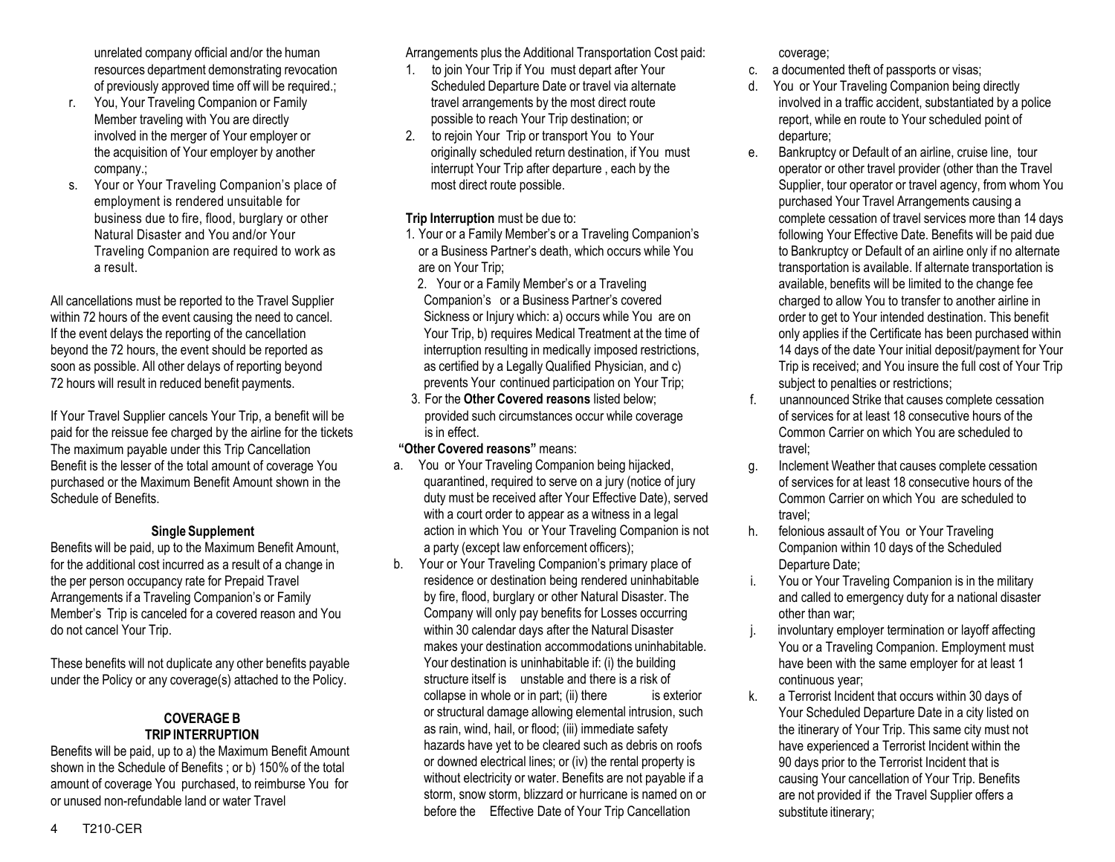unrelated company official and/or the human resources department demonstrating revocation of previously approved time off will be required.;

- r. You, Your Traveling Companion or Family Member traveling with You are directly involved in the merger of Your employer or the acquisition of Your employer by another company.;
- s. Your or Your Traveling Companion's place of employment is rendered unsuitable for business due to fire, flood, burglary or other Natural Disaster and You and/or Your Traveling Companion are required to work as a result.

All cancellations must be reported to the Travel Supplier within 72 hours of the event causing the need to cancel. If the event delays the reporting of the cancellation beyond the 72 hours, the event should be reported as soon as possible. All other delays of reporting beyond 72 hours will result in reduced benefit payments.

If Your Travel Supplier cancels Your Trip, a benefit will be paid for the reissue fee charged by the airline for the tickets The maximum payable under this Trip Cancellation Benefit is the lesser of the total amount of coverage You purchased or the Maximum Benefit Amount shown in the Schedule of Benefits.

## **Single Supplement**

Benefits will be paid, up to the Maximum Benefit Amount, for the additional cost incurred as a result of a change in the per person occupancy rate for Prepaid Travel Arrangements if a Traveling Companion's or Family Member's Trip is canceled for a covered reason and You do not cancel Your Trip.

These benefits will not duplicate any other benefits payable under the Policy or any coverage(s) attached to the Policy.

## **COVERAGE B TRIP INTERRUPTION**

Benefits will be paid, up to a) the Maximum Benefit Amount shown in the Schedule of Benefits ; or b) 150% of the total amount of coverage You purchased, to reimburse You for or unused non-refundable land or water Travel

Arrangements plus the Additional Transportation Cost paid:

- 1. to join Your Trip if You must depart after Your Scheduled Departure Date or travel via alternate travel arrangements by the most direct route possible to reach Your Trip destination; or
- 2. to rejoin Your Trip or transport You to Your originally scheduled return destination, if You must interrupt Your Trip after departure , each by the most direct route possible.

## **Trip Interruption** must be due to:

- 1. Your or a Family Member's or a Traveling Companion's or a Business Partner's death, which occurs while You are on Your Trip;
- 2. Your or a Family Member's or a Traveling Companion's or a Business Partner's covered Sickness or Injury which: a) occurs while You are on Your Trip, b) requires Medical Treatment at the time of interruption resulting in medically imposed restrictions, as certified by a Legally Qualified Physician, and c) prevents Your continued participation on Your Trip;
- 3. For the **Other Covered reasons** listed below; provided such circumstances occur while coverage is in effect.

## **"Other Covered reasons"** means:

- a. You or Your Traveling Companion being hijacked, quarantined, required to serve on a jury (notice of jury duty must be received after Your Effective Date), served with a court order to appear as a witness in a legal action in which You or Your Traveling Companion is not a party (except law enforcement officers);
- b. Your or Your Traveling Companion's primary place of residence or destination being rendered uninhabitable by fire, flood, burglary or other Natural Disaster. The Company will only pay benefits for Losses occurring within 30 calendar days after the Natural Disaster makes your destination accommodations uninhabitable. Your destination is uninhabitable if: (i) the building structure itself is unstable and there is a risk of collapse in whole or in part; (ii) there is exterior or structural damage allowing elemental intrusion, such as rain, wind, hail, or flood; (iii) immediate safety hazards have yet to be cleared such as debris on roofs or downed electrical lines; or (iv) the rental property is without electricity or water. Benefits are not payable if a storm, snow storm, blizzard or hurricane is named on or before the Effective Date of Your Trip Cancellation

coverage;

- c. a documented theft of passports or visas;
- You or Your Traveling Companion being directly involved in a traffic accident, substantiated by a police report, while en route to Your scheduled point of departure;
- e. Bankruptcy or Default of an airline, cruise line, tour operator or other travel provider (other than the Travel Supplier, tour operator or travel agency, from whom You purchased Your Travel Arrangements causing a complete cessation of travel services more than 14 days following Your Effective Date. Benefits will be paid due to Bankruptcy or Default of an airline only if no alternate transportation is available. If alternate transportation is available, benefits will be limited to the change fee charged to allow You to transfer to another airline in order to get to Your intended destination. This benefit only applies if the Certificate has been purchased within 14 days of the date Your initial deposit/payment for Your Trip is received; and You insure the full cost of Your Trip subject to penalties or restrictions;
- f. unannounced Strike that causes complete cessation of services for at least 18 consecutive hours of the Common Carrier on which You are scheduled to travel;
- g. Inclement Weather that causes complete cessation of services for at least 18 consecutive hours of the Common Carrier on which You are scheduled to travel;
- h. felonious assault of You or Your Traveling Companion within 10 days of the Scheduled Departure Date;
- i. You or Your Traveling Companion is in the military and called to emergency duty for a national disaster other than war;
- j. involuntary employer termination or layoff affecting You or a Traveling Companion. Employment must have been with the same employer for at least 1 continuous year;
- k. a Terrorist Incident that occurs within 30 days of Your Scheduled Departure Date in a city listed on the itinerary of Your Trip. This same city must not have experienced a Terrorist Incident within the 90 days prior to the Terrorist Incident that is causing Your cancellation of Your Trip. Benefits are not provided if the Travel Supplier offers a substitute itinerary;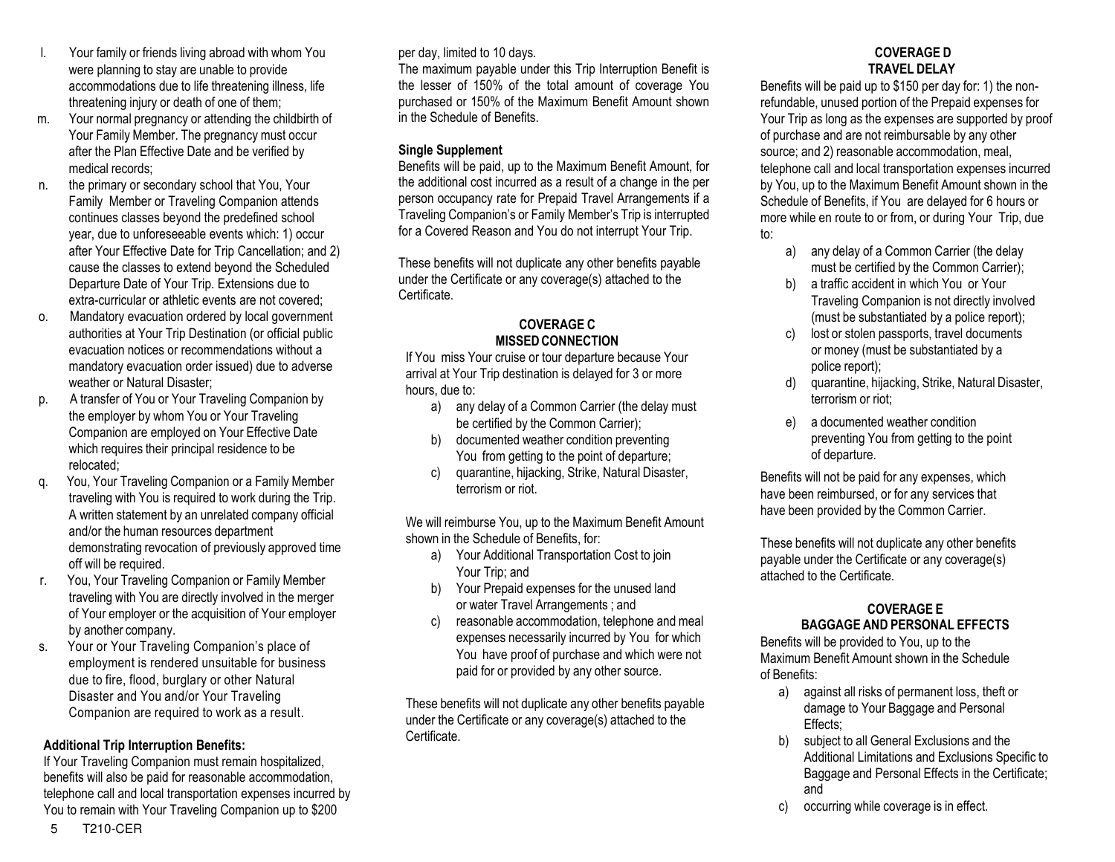- l. Your family or friends living abroad with whom You were planning to stay are unable to provide accommodations due to life threatening illness, life threatening injury or death of one of them;
- m. Your normal pregnancy or attending the childbirth of Your Family Member. The pregnancy must occur after the Plan Effective Date and be verified by medical records;
- n. the primary or secondary school that You, Your Family Member or Traveling Companion attends continues classes beyond the predefined school year, due to unforeseeable events which: 1) occur after Your Effective Date for Trip Cancellation; and 2) cause the classes to extend beyond the Scheduled Departure Date of Your Trip. Extensions due to extra-curricular or athletic events are not covered;
- o. Mandatory evacuation ordered by local government authorities at Your Trip Destination (or official public evacuation notices or recommendations without a mandatory evacuation order issued) due to adverse weather or Natural Disaster;
- p. A transfer of You or Your Traveling Companion by the employer by whom You or Your Traveling Companion are employed on Your Effective Date which requires their principal residence to be relocated;
- q. You, Your Traveling Companion or a Family Member traveling with You is required to work during the Trip. A written statement by an unrelated company official and/or the human resources department demonstrating revocation of previously approved time off will be required.
- r. You, Your Traveling Companion or Family Member traveling with You are directly involved in the merger of Your employer or the acquisition of Your employer by another company.
- s. Your or Your Traveling Companion's place of employment is rendered unsuitable for business due to fire, flood, burglary or other Natural Disaster and You and/or Your Traveling Companion are required to work as a result.

## **Additional Trip Interruption Benefits:**

If Your Traveling Companion must remain hospitalized, benefits will also be paid for reasonable accommodation, telephone call and local transportation expenses incurred by You to remain with Your Traveling Companion up to \$200

per day, limited to 10 days.

The maximum payable under this Trip Interruption Benefit is the lesser of 150% of the total amount of coverage You purchased or 150% of the Maximum Benefit Amount shown in the Schedule of Benefits.

## **Single Supplement**

Benefits will be paid, up to the Maximum Benefit Amount, for the additional cost incurred as a result of a change in the per person occupancy rate for Prepaid Travel Arrangements if a Traveling Companion's or Family Member's Trip is interrupted for a Covered Reason and You do not interrupt Your Trip.

These benefits will not duplicate any other benefits payable under the Certificate or any coverage(s) attached to the Certificate.

#### **COVERAGE C MISSED CONNECTION**

If You miss Your cruise or tour departure because Your arrival at Your Trip destination is delayed for 3 or more hours, due to:

- a) any delay of a Common Carrier (the delay must be certified by the Common Carrier);
- b) documented weather condition preventing You from getting to the point of departure;
- c) quarantine, hijacking, Strike, Natural Disaster, terrorism or riot.

We will reimburse You, up to the Maximum Benefit Amount shown in the Schedule of Benefits, for:

- a) Your Additional Transportation Cost to join Your Trip; and
- b) Your Prepaid expenses for the unused land or water Travel Arrangements ; and
- c) reasonable accommodation, telephone and meal expenses necessarily incurred by You for which You have proof of purchase and which were not paid for or provided by any other source.

These benefits will not duplicate any other benefits payable under the Certificate or any coverage(s) attached to the Certificate.

## **COVERAGE D TRAVEL DELAY**

Benefits will be paid up to \$150 per day for: 1) the nonrefundable, unused portion of the Prepaid expenses for Your Trip as long as the expenses are supported by proof of purchase and are not reimbursable by any other source; and 2) reasonable accommodation, meal, telephone call and local transportation expenses incurred by You, up to the Maximum Benefit Amount shown in the Schedule of Benefits, if You are delayed for 6 hours or more while en route to or from, or during Your Trip, due to:

- a) any delay of a Common Carrier (the delay must be certified by the Common Carrier);
- b) a traffic accident in which You or Your Traveling Companion is not directly involved (must be substantiated by a police report);
- c) lost or stolen passports, travel documents or money (must be substantiated by a police report);
- quarantine, hijacking, Strike, Natural Disaster, terrorism or riot;
- e) a documented weather condition preventing You from getting to the point of departure.

Benefits will not be paid for any expenses, which have been reimbursed, or for any services that have been provided by the Common Carrier.

These benefits will not duplicate any other benefits payable under the Certificate or any coverage(s) attached to the Certificate.

#### **COVERAGE E BAGGAGE AND PERSONAL EFFECTS**

Benefits will be provided to You, up to the Maximum Benefit Amount shown in the Schedule of Benefits:

- a) against all risks of permanent loss, theft or damage to Your Baggage and Personal Effects;
- b) subject to all General Exclusions and the Additional Limitations and Exclusions Specific to Baggage and Personal Effects in the Certificate; and
- c) occurring while coverage is in effect.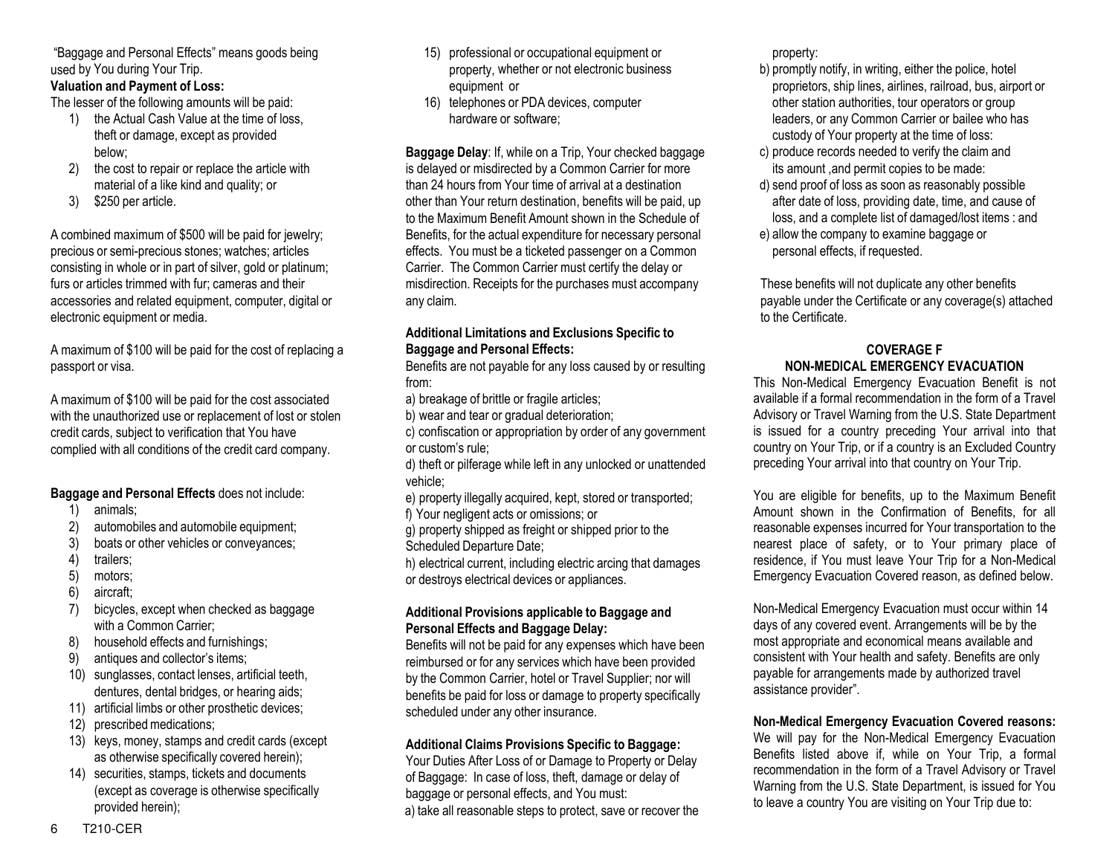"Baggage and Personal Effects" means goods being used by You during Your Trip.

## **Valuation and Payment of Loss:**

The lesser of the following amounts will be paid:

- 1) the Actual Cash Value at the time of loss, theft or damage, except as provided below;
- 2) the cost to repair or replace the article with material of a like kind and quality; or
- 3) \$250 per article.

A combined maximum of \$500 will be paid for jewelry; precious or semi-precious stones; watches; articles consisting in whole or in part of silver, gold or platinum; furs or articles trimmed with fur; cameras and their accessories and related equipment, computer, digital or electronic equipment or media.

A maximum of \$100 will be paid for the cost of replacing a passport or visa.

A maximum of \$100 will be paid for the cost associated with the unauthorized use or replacement of lost or stolen credit cards, subject to verification that You have complied with all conditions of the credit card company.

## **Baggage and Personal Effects** does not include:

- 1) animals;
- 2) automobiles and automobile equipment;
- 3) boats or other vehicles or conveyances;
- 4) trailers;
- 5) motors;
- 6) aircraft;
- 7) bicycles, except when checked as baggage with a Common Carrier;
- 8) household effects and furnishings;
- 9) antiques and collector's items;
- 10) sunglasses, contact lenses, artificial teeth, dentures, dental bridges, or hearing aids;
- 11) artificial limbs or other prosthetic devices;
- 12) prescribed medications;
- 13) keys, money, stamps and credit cards (except as otherwise specifically covered herein);
- 14) securities, stamps, tickets and documents (except as coverage is otherwise specifically provided herein);
- 15) professional or occupational equipment or property, whether or not electronic business equipment or
- 16) telephones or PDA devices, computer hardware or software;

**Baggage Delay**: If, while on a Trip, Your checked baggage is delayed or misdirected by a Common Carrier for more than 24 hours from Your time of arrival at a destination other than Your return destination, benefits will be paid, up to the Maximum Benefit Amount shown in the Schedule of Benefits, for the actual expenditure for necessary personal effects. You must be a ticketed passenger on a Common Carrier. The Common Carrier must certify the delay or misdirection. Receipts for the purchases must accompany any claim.

## **Additional Limitations and Exclusions Specific to Baggage and Personal Effects:**

Benefits are not payable for any loss caused by or resulting from:

- a) breakage of brittle or fragile articles;
- b) wear and tear or gradual deterioration;
- c) confiscation or appropriation by order of any government or custom's rule;
- d) theft or pilferage while left in any unlocked or unattended vehicle;
- e) property illegally acquired, kept, stored or transported; f) Your negligent acts or omissions; or
- g) property shipped as freight or shipped prior to the Scheduled Departure Date;
- h) electrical current, including electric arcing that damages or destroys electrical devices or appliances.

## **Additional Provisions applicable to Baggage and Personal Effects and Baggage Delay:**

Benefits will not be paid for any expenses which have been reimbursed or for any services which have been provided by the Common Carrier, hotel or Travel Supplier; nor will benefits be paid for loss or damage to property specifically scheduled under any other insurance.

## **Additional Claims Provisions Specific to Baggage:**

Your Duties After Loss of or Damage to Property or Delay of Baggage: In case of loss, theft, damage or delay of baggage or personal effects, and You must: a) take all reasonable steps to protect, save or recover the property:

- b) promptly notify, in writing, either the police, hotel proprietors, ship lines, airlines, railroad, bus, airport or other station authorities, tour operators or group leaders, or any Common Carrier or bailee who has custody of Your property at the time of loss:
- c) produce records needed to verify the claim and its amount ,and permit copies to be made:
- d) send proof of loss as soon as reasonably possible after date of loss, providing date, time, and cause of loss, and a complete list of damaged/lost items : and
- e) allow the company to examine baggage or personal effects, if requested.

These benefits will not duplicate any other benefits payable under the Certificate or any coverage(s) attached to the Certificate.

## **COVERAGE F NON-MEDICAL EMERGENCY EVACUATION**

This Non-Medical Emergency Evacuation Benefit is not available if a formal recommendation in the form of a Travel Advisory or Travel Warning from the U.S. State Department is issued for a country preceding Your arrival into that country on Your Trip, or if a country is an Excluded Country preceding Your arrival into that country on Your Trip.

You are eligible for benefits, up to the Maximum Benefit Amount shown in the Confirmation of Benefits, for all reasonable expenses incurred for Your transportation to the nearest place of safety, or to Your primary place of residence, if You must leave Your Trip for a Non-Medical Emergency Evacuation Covered reason, as defined below.

Non-Medical Emergency Evacuation must occur within 14 days of any covered event. Arrangements will be by the most appropriate and economical means available and consistent with Your health and safety. Benefits are only payable for arrangements made by authorized travel assistance provider".

## **Non-Medical Emergency Evacuation Covered reasons:**

We will pay for the Non-Medical Emergency Evacuation Benefits listed above if, while on Your Trip, a formal recommendation in the form of a Travel Advisory or Travel Warning from the U.S. State Department, is issued for You to leave a country You are visiting on Your Trip due to: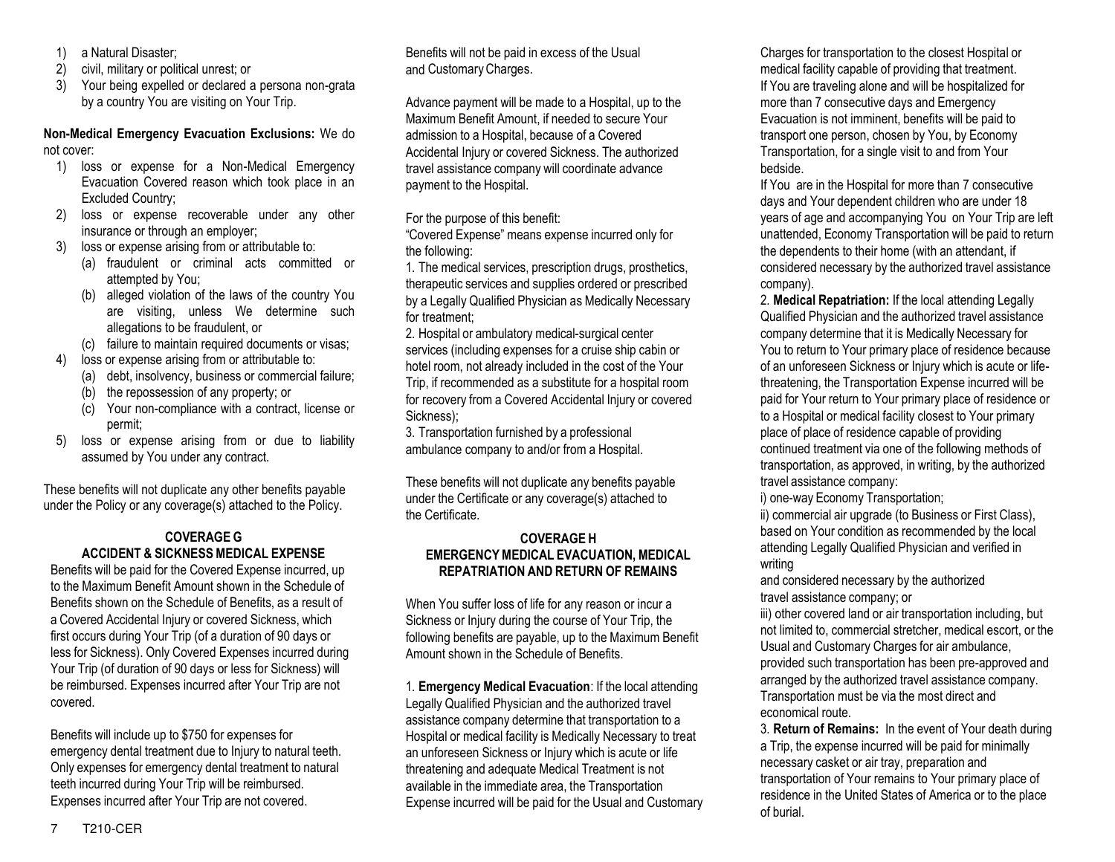- 1) a Natural Disaster;
- 2) civil, military or political unrest; or
- 3) Your being expelled or declared a persona non-grata by a country You are visiting on Your Trip.

## **Non-Medical Emergency Evacuation Exclusions:** We do not cover:

- 1) loss or expense for a Non-Medical Emergency Evacuation Covered reason which took place in an Excluded Country;
- 2) loss or expense recoverable under any other insurance or through an employer;
- 3) loss or expense arising from or attributable to:
	- (a) fraudulent or criminal acts committed or attempted by You;
	- (b) alleged violation of the laws of the country You are visiting, unless We determine such allegations to be fraudulent, or
	- (c) failure to maintain required documents or visas;
- 4) loss or expense arising from or attributable to:
	- (a) debt, insolvency, business or commercial failure;
	- (b) the repossession of any property; or
	- (c) Your non-compliance with a contract, license or permit;
- 5) loss or expense arising from or due to liability assumed by You under any contract.

These benefits will not duplicate any other benefits payable under the Policy or any coverage(s) attached to the Policy.

## **COVERAGE G ACCIDENT & SICKNESS MEDICAL EXPENSE**

Benefits will be paid for the Covered Expense incurred, up to the Maximum Benefit Amount shown in the Schedule of Benefits shown on the Schedule of Benefits, as a result of a Covered Accidental Injury or covered Sickness, which first occurs during Your Trip (of a duration of 90 days or less for Sickness). Only Covered Expenses incurred during Your Trip (of duration of 90 days or less for Sickness) will be reimbursed. Expenses incurred after Your Trip are not covered.

Benefits will include up to \$750 for expenses for emergency dental treatment due to Injury to natural teeth. Only expenses for emergency dental treatment to natural teeth incurred during Your Trip will be reimbursed. Expenses incurred after Your Trip are not covered.

Benefits will not be paid in excess of the Usual and Customary Charges.

Advance payment will be made to a Hospital, up to the Maximum Benefit Amount, if needed to secure Your admission to a Hospital, because of a Covered Accidental Injury or covered Sickness. The authorized travel assistance company will coordinate advance payment to the Hospital.

For the purpose of this benefit:

"Covered Expense" means expense incurred only for the following:

1. The medical services, prescription drugs, prosthetics, therapeutic services and supplies ordered or prescribed by a Legally Qualified Physician as Medically Necessary for treatment;

2. Hospital or ambulatory medical-surgical center services (including expenses for a cruise ship cabin or hotel room, not already included in the cost of the Your Trip, if recommended as a substitute for a hospital room for recovery from a Covered Accidental Injury or covered Sickness);

3. Transportation furnished by a professional ambulance company to and/or from a Hospital.

These benefits will not duplicate any benefits payable under the Certificate or any coverage(s) attached to the Certificate.

## **COVERAGE H EMERGENCY MEDICAL EVACUATION, MEDICAL REPATRIATION AND RETURN OF REMAINS**

When You suffer loss of life for any reason or incur a Sickness or Injury during the course of Your Trip, the following benefits are payable, up to the Maximum Benefit Amount shown in the Schedule of Benefits.

1. **Emergency Medical Evacuation**: If the local attending Legally Qualified Physician and the authorized travel assistance company determine that transportation to a Hospital or medical facility is Medically Necessary to treat an unforeseen Sickness or Injury which is acute or life threatening and adequate Medical Treatment is not available in the immediate area, the Transportation Expense incurred will be paid for the Usual and Customary Charges for transportation to the closest Hospital or medical facility capable of providing that treatment. If You are traveling alone and will be hospitalized for more than 7 consecutive days and Emergency Evacuation is not imminent, benefits will be paid to transport one person, chosen by You, by Economy Transportation, for a single visit to and from Your bedside.

If You are in the Hospital for more than 7 consecutive days and Your dependent children who are under 18 years of age and accompanying You on Your Trip are left unattended, Economy Transportation will be paid to return the dependents to their home (with an attendant, if considered necessary by the authorized travel assistance company).

2. **Medical Repatriation:** If the local attending Legally Qualified Physician and the authorized travel assistance company determine that it is Medically Necessary for You to return to Your primary place of residence because of an unforeseen Sickness or Injury which is acute or lifethreatening, the Transportation Expense incurred will be paid for Your return to Your primary place of residence or to a Hospital or medical facility closest to Your primary place of place of residence capable of providing continued treatment via one of the following methods of transportation, as approved, in writing, by the authorized travel assistance company:

i) one-way Economy Transportation;

ii) commercial air upgrade (to Business or First Class), based on Your condition as recommended by the local attending Legally Qualified Physician and verified in writing

and considered necessary by the authorized travel assistance company; or

iii) other covered land or air transportation including, but not limited to, commercial stretcher, medical escort, or the Usual and Customary Charges for air ambulance, provided such transportation has been pre-approved and arranged by the authorized travel assistance company. Transportation must be via the most direct and economical route.

3. **Return of Remains:** In the event of Your death during a Trip, the expense incurred will be paid for minimally necessary casket or air tray, preparation and transportation of Your remains to Your primary place of residence in the United States of America or to the place of burial.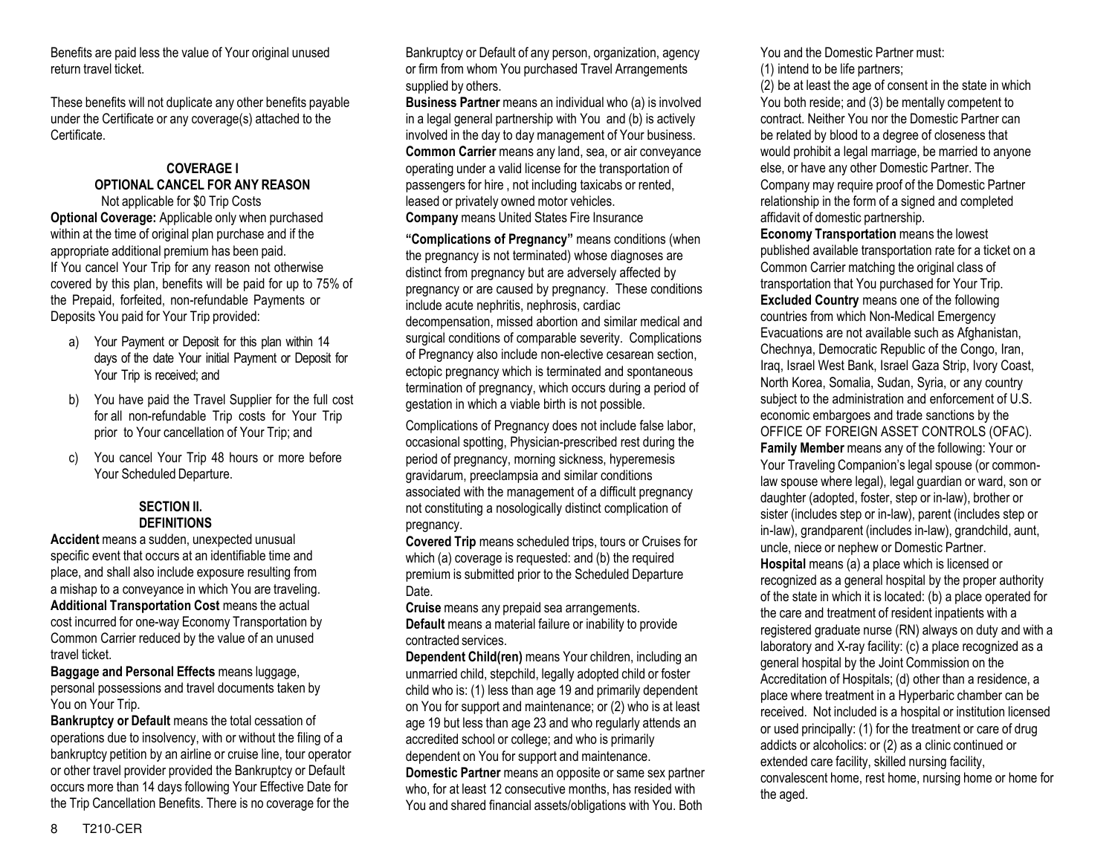Benefits are paid less the value of Your original unused return travel ticket.

These benefits will not duplicate any other benefits payable under the Certificate or any coverage(s) attached to the Certificate.

## **COVERAGE I OPTIONAL CANCEL FOR ANY REASON**

Not applicable for \$0 Trip Costs **Optional Coverage:** Applicable only when purchased within at the time of original plan purchase and if the appropriate additional premium has been paid. If You cancel Your Trip for any reason not otherwise covered by this plan, benefits will be paid for up to 75% of the Prepaid, forfeited, non-refundable Payments or Deposits You paid for Your Trip provided:

- a) Your Payment or Deposit for this plan within 14 days of the date Your initial Payment or Deposit for Your Trip is received; and
- b) You have paid the Travel Supplier for the full cost for all non-refundable Trip costs for Your Trip prior to Your cancellation of Your Trip; and
- c) You cancel Your Trip 48 hours or more before Your Scheduled Departure.

#### **SECTION II. DEFINITIONS**

**Accident** means a sudden, unexpected unusual specific event that occurs at an identifiable time and place, and shall also include exposure resulting from a mishap to a conveyance in which You are traveling. **Additional Transportation Cost** means the actual cost incurred for one-way Economy Transportation by Common Carrier reduced by the value of an unused travel ticket.

**Baggage and Personal Effects** means luggage, personal possessions and travel documents taken by You on Your Trip.

**Bankruptcy or Default** means the total cessation of operations due to insolvency, with or without the filing of a bankruptcy petition by an airline or cruise line, tour operator or other travel provider provided the Bankruptcy or Default occurs more than 14 days following Your Effective Date for the Trip Cancellation Benefits. There is no coverage for the

Bankruptcy or Default of any person, organization, agency or firm from whom You purchased Travel Arrangements supplied by others.

**Business Partner** means an individual who (a) is involved in a legal general partnership with You and (b) is actively involved in the day to day management of Your business. **Common Carrier** means any land, sea, or air conveyance operating under a valid license for the transportation of passengers for hire , not including taxicabs or rented, leased or privately owned motor vehicles. **Company** means United States Fire Insurance

**"Complications of Pregnancy"** means conditions (when the pregnancy is not terminated) whose diagnoses are distinct from pregnancy but are adversely affected by pregnancy or are caused by pregnancy. These conditions include acute nephritis, nephrosis, cardiac

decompensation, missed abortion and similar medical and surgical conditions of comparable severity. Complications of Pregnancy also include non-elective cesarean section, ectopic pregnancy which is terminated and spontaneous termination of pregnancy, which occurs during a period of gestation in which a viable birth is not possible.

Complications of Pregnancy does not include false labor, occasional spotting, Physician-prescribed rest during the period of pregnancy, morning sickness, hyperemesis gravidarum, preeclampsia and similar conditions associated with the management of a difficult pregnancy not constituting a nosologically distinct complication of pregnancy.

**Covered Trip** means scheduled trips, tours or Cruises for which (a) coverage is requested: and (b) the required premium is submitted prior to the Scheduled Departure Date.

**Cruise** means any prepaid sea arrangements. **Default** means a material failure or inability to provide contracted services.

**Dependent Child(ren)** means Your children, including an unmarried child, stepchild, legally adopted child or foster child who is: (1) less than age 19 and primarily dependent on You for support and maintenance; or (2) who is at least age 19 but less than age 23 and who regularly attends an accredited school or college; and who is primarily dependent on You for support and maintenance. **Domestic Partner** means an opposite or same sex partner who, for at least 12 consecutive months, has resided with You and shared financial assets/obligations with You. Both

You and the Domestic Partner must: (1) intend to be life partners;

(2) be at least the age of consent in the state in which You both reside; and (3) be mentally competent to contract. Neither You nor the Domestic Partner can be related by blood to a degree of closeness that would prohibit a legal marriage, be married to anyone else, or have any other Domestic Partner. The Company may require proof of the Domestic Partner relationship in the form of a signed and completed affidavit of domestic partnership.

**Economy Transportation** means the lowest published available transportation rate for a ticket on a Common Carrier matching the original class of transportation that You purchased for Your Trip. **Excluded Country** means one of the following countries from which Non-Medical Emergency Evacuations are not available such as Afghanistan, Chechnya, Democratic Republic of the Congo, Iran, Iraq, Israel West Bank, Israel Gaza Strip, Ivory Coast, North Korea, Somalia, Sudan, Syria, or any country subject to the administration and enforcement of U.S. economic embargoes and trade sanctions by the OFFICE OF FOREIGN ASSET CONTROLS (OFAC). **Family Member** means any of the following: Your or Your Traveling Companion's legal spouse (or commonlaw spouse where legal), legal guardian or ward, son or daughter (adopted, foster, step or in-law), brother or sister (includes step or in-law), parent (includes step or in-law), grandparent (includes in-law), grandchild, aunt, uncle, niece or nephew or Domestic Partner. **Hospital** means (a) a place which is licensed or recognized as a general hospital by the proper authority of the state in which it is located: (b) a place operated for the care and treatment of resident inpatients with a registered graduate nurse (RN) always on duty and with a laboratory and X-ray facility: (c) a place recognized as a general hospital by the Joint Commission on the Accreditation of Hospitals; (d) other than a residence, a place where treatment in a Hyperbaric chamber can be received. Not included is a hospital or institution licensed or used principally: (1) for the treatment or care of drug addicts or alcoholics: or (2) as a clinic continued or extended care facility, skilled nursing facility, convalescent home, rest home, nursing home or home for the aged.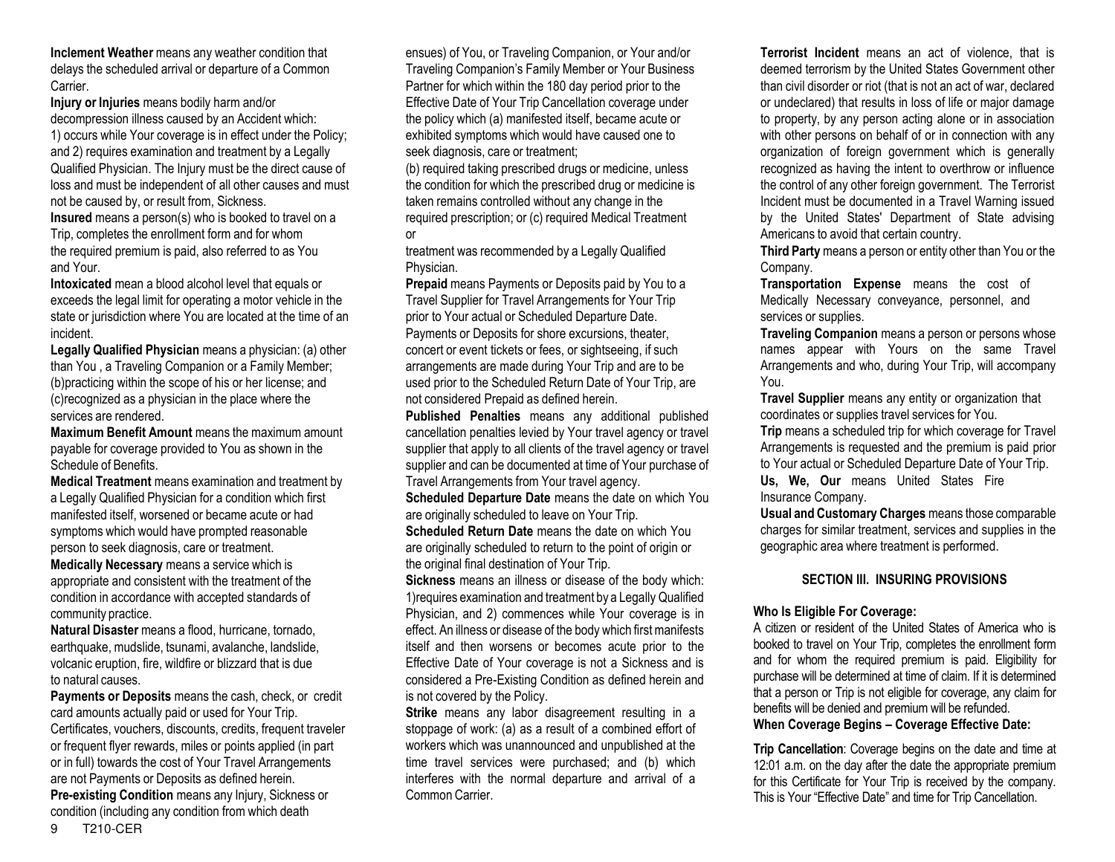**Inclement Weather** means any weather condition that delays the scheduled arrival or departure of a Common Carrier.

**Injury or Injuries** means bodily harm and/or decompression illness caused by an Accident which:

1) occurs while Your coverage is in effect under the Policy; and 2) requires examination and treatment by a Legally Qualified Physician. The Injury must be the direct cause of loss and must be independent of all other causes and must not be caused by, or result from, Sickness.

**Insured** means a person(s) who is booked to travel on a Trip, completes the enrollment form and for whom the required premium is paid, also referred to as You and Your.

**Intoxicated** mean a blood alcohol level that equals or exceeds the legal limit for operating a motor vehicle in the state or jurisdiction where You are located at the time of an incident.

**Legally Qualified Physician** means a physician: (a) other than You , a Traveling Companion or a Family Member; (b)practicing within the scope of his or her license; and (c)recognized as a physician in the place where the services are rendered.

**Maximum Benefit Amount** means the maximum amount payable for coverage provided to You as shown in the Schedule of Benefits.

**Medical Treatment** means examination and treatment by a Legally Qualified Physician for a condition which first manifested itself, worsened or became acute or had symptoms which would have prompted reasonable person to seek diagnosis, care or treatment.

**Medically Necessary** means a service which is appropriate and consistent with the treatment of the condition in accordance with accepted standards of community practice.

**Natural Disaster** means a flood, hurricane, tornado, earthquake, mudslide, tsunami, avalanche, landslide, volcanic eruption, fire, wildfire or blizzard that is due to natural causes.

**Payments or Deposits** means the cash, check, or credit card amounts actually paid or used for Your Trip. Certificates, vouchers, discounts, credits, frequent traveler or frequent flyer rewards, miles or points applied (in part or in full) towards the cost of Your Travel Arrangements are not Payments or Deposits as defined herein. **Pre-existing Condition** means any Injury, Sickness or condition (including any condition from which death

ensues) of You, or Traveling Companion, or Your and/or Traveling Companion's Family Member or Your Business Partner for which within the 180 day period prior to the Effective Date of Your Trip Cancellation coverage under the policy which (a) manifested itself, became acute or exhibited symptoms which would have caused one to seek diagnosis, care or treatment;

(b) required taking prescribed drugs or medicine, unless the condition for which the prescribed drug or medicine is taken remains controlled without any change in the required prescription; or (c) required Medical Treatment or

treatment was recommended by a Legally Qualified Physician.

**Prepaid** means Payments or Deposits paid by You to a Travel Supplier for Travel Arrangements for Your Trip prior to Your actual or Scheduled Departure Date. Payments or Deposits for shore excursions, theater, concert or event tickets or fees, or sightseeing, if such arrangements are made during Your Trip and are to be used prior to the Scheduled Return Date of Your Trip, are not considered Prepaid as defined herein.

**Published Penalties** means any additional published cancellation penalties levied by Your travel agency or travel supplier that apply to all clients of the travel agency or travel supplier and can be documented at time of Your purchase of Travel Arrangements from Your travel agency.

**Scheduled Departure Date** means the date on which You are originally scheduled to leave on Your Trip.

**Scheduled Return Date** means the date on which You are originally scheduled to return to the point of origin or the original final destination of Your Trip.

**Sickness** means an illness or disease of the body which: 1)requires examination and treatment by a Legally Qualified Physician, and 2) commences while Your coverage is in effect. An illness or disease of the body which first manifests itself and then worsens or becomes acute prior to the Effective Date of Your coverage is not a Sickness and is considered a Pre-Existing Condition as defined herein and is not covered by the Policy.

**Strike** means any labor disagreement resulting in a stoppage of work: (a) as a result of a combined effort of workers which was unannounced and unpublished at the time travel services were purchased; and (b) which interferes with the normal departure and arrival of a Common Carrier.

**Terrorist Incident** means an act of violence, that is deemed terrorism by the United States Government other than civil disorder or riot (that is not an act of war, declared or undeclared) that results in loss of life or major damage to property, by any person acting alone or in association with other persons on behalf of or in connection with any organization of foreign government which is generally recognized as having the intent to overthrow or influence the control of any other foreign government. The Terrorist Incident must be documented in a Travel Warning issued by the United States' Department of State advising Americans to avoid that certain country.

**Third Party** means a person or entity other than You or the Company.

**Transportation Expense** means the cost of Medically Necessary conveyance, personnel, and services or supplies.

**Traveling Companion** means a person or persons whose names appear with Yours on the same Travel Arrangements and who, during Your Trip, will accompany You.

**Travel Supplier** means any entity or organization that coordinates or supplies travel services for You.

**Trip** means a scheduled trip for which coverage for Travel Arrangements is requested and the premium is paid prior to Your actual or Scheduled Departure Date of Your Trip. **Us, We, Our** means United States Fire Insurance Company.

**Usual and Customary Charges** means those comparable charges for similar treatment, services and supplies in the geographic area where treatment is performed.

## **SECTION III. INSURING PROVISIONS**

#### **Who Is Eligible For Coverage:**

A citizen or resident of the United States of America who is booked to travel on Your Trip, completes the enrollment form and for whom the required premium is paid. Eligibility for purchase will be determined at time of claim. If it is determined that a person or Trip is not eligible for coverage, any claim for benefits will be denied and premium will be refunded. **When Coverage Begins – Coverage Effective Date:** 

**Trip Cancellation**: Coverage begins on the date and time at 12:01 a.m. on the day after the date the appropriate premium for this Certificate for Your Trip is received by the company. This is Your "Effective Date" and time for Trip Cancellation.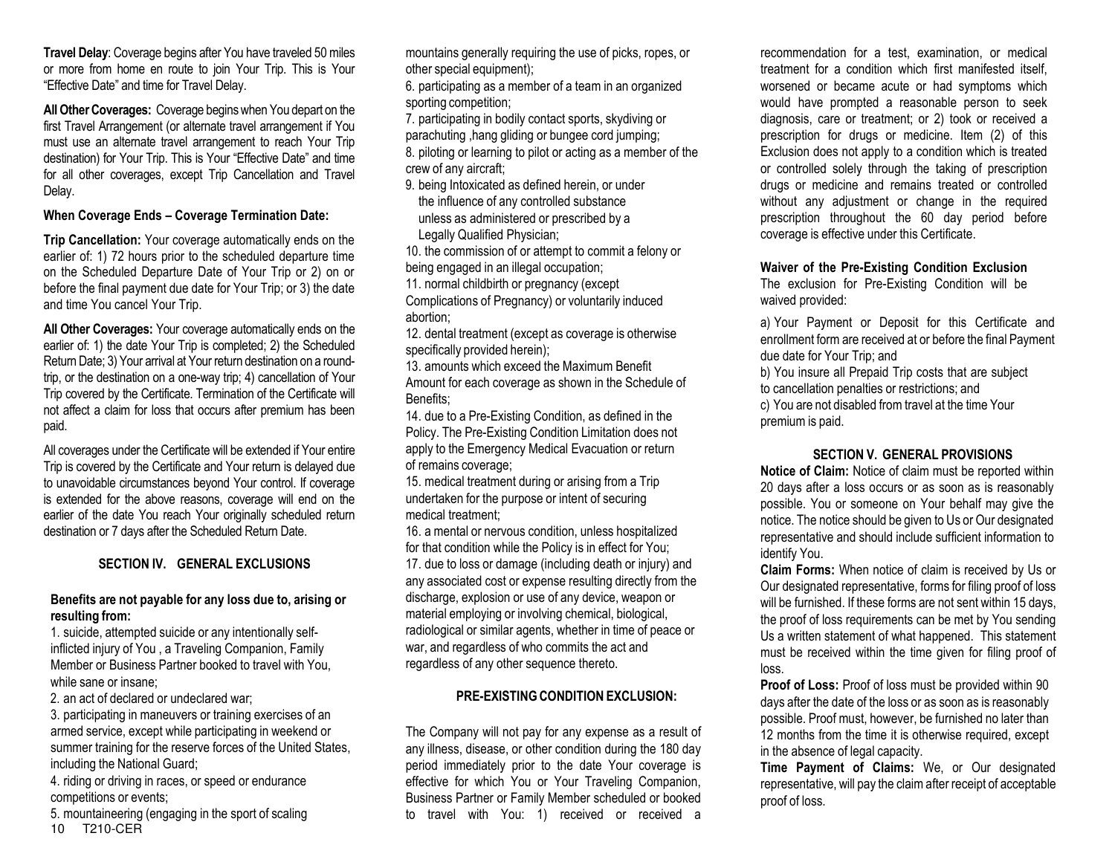**Travel Delay**: Coverage begins after You have traveled 50 miles or more from home en route to join Your Trip. This is Your "Effective Date" and time for Travel Delay.

**All Other Coverages:** Coverage begins when You depart on the first Travel Arrangement (or alternate travel arrangement if You must use an alternate travel arrangement to reach Your Trip destination) for Your Trip. This is Your "Effective Date" and time for all other coverages, except Trip Cancellation and Travel Delay.

**When Coverage Ends – Coverage Termination Date:** 

**Trip Cancellation:** Your coverage automatically ends on the earlier of: 1) 72 hours prior to the scheduled departure time on the Scheduled Departure Date of Your Trip or 2) on or before the final payment due date for Your Trip; or 3) the date and time You cancel Your Trip.

**All Other Coverages:** Your coverage automatically ends on the earlier of: 1) the date Your Trip is completed; 2) the Scheduled Return Date; 3) Your arrival at Your return destination on a roundtrip, or the destination on a one-way trip; 4) cancellation of Your Trip covered by the Certificate. Termination of the Certificate will not affect a claim for loss that occurs after premium has been paid.

All coverages under the Certificate will be extended if Your entire Trip is covered by the Certificate and Your return is delayed due to unavoidable circumstances beyond Your control. If coverage is extended for the above reasons, coverage will end on the earlier of the date You reach Your originally scheduled return destination or 7 days after the Scheduled Return Date.

## **SECTION IV. GENERAL EXCLUSIONS**

## **Benefits are not payable for any loss due to, arising or resulting from:**

1. suicide, attempted suicide or any intentionally selfinflicted injury of You , a Traveling Companion, Family Member or Business Partner booked to travel with You, while sane or insane;

2. an act of declared or undeclared war;

3. participating in maneuvers or training exercises of an armed service, except while participating in weekend or summer training for the reserve forces of the United States, including the National Guard;

4. riding or driving in races, or speed or endurance competitions or events;

10 T210-CER 5. mountaineering (engaging in the sport of scaling mountains generally requiring the use of picks, ropes, or other special equipment);

6. participating as a member of a team in an organized sporting competition;

7. participating in bodily contact sports, skydiving or parachuting ,hang gliding or bungee cord jumping;

8. piloting or learning to pilot or acting as a member of the crew of any aircraft;

9. being Intoxicated as defined herein, or under the influence of any controlled substance unless as administered or prescribed by a Legally Qualified Physician;

10. the commission of or attempt to commit a felony or being engaged in an illegal occupation;

11. normal childbirth or pregnancy (except Complications of Pregnancy) or voluntarily induced

abortion;

12. dental treatment (except as coverage is otherwise specifically provided herein);

13. amounts which exceed the Maximum Benefit Amount for each coverage as shown in the Schedule of Benefits;

14. due to a Pre-Existing Condition, as defined in the Policy. The Pre-Existing Condition Limitation does not apply to the Emergency Medical Evacuation or return of remains coverage;

15. medical treatment during or arising from a Trip undertaken for the purpose or intent of securing medical treatment;

16. a mental or nervous condition, unless hospitalized for that condition while the Policy is in effect for You; 17. due to loss or damage (including death or injury) and any associated cost or expense resulting directly from the discharge, explosion or use of any device, weapon or material employing or involving chemical, biological, radiological or similar agents, whether in time of peace or war, and regardless of who commits the act and regardless of any other sequence thereto.

## **PRE-EXISTING CONDITION EXCLUSION:**

The Company will not pay for any expense as a result of any illness, disease, or other condition during the 180 day period immediately prior to the date Your coverage is effective for which You or Your Traveling Companion, Business Partner or Family Member scheduled or booked to travel with You: 1) received or received a

recommendation for a test, examination, or medical treatment for a condition which first manifested itself, worsened or became acute or had symptoms which would have prompted a reasonable person to seek diagnosis, care or treatment; or 2) took or received a prescription for drugs or medicine. Item (2) of this Exclusion does not apply to a condition which is treated or controlled solely through the taking of prescription drugs or medicine and remains treated or controlled without any adjustment or change in the required prescription throughout the 60 day period before coverage is effective under this Certificate.

## **Waiver of the Pre-Existing Condition Exclusion**

The exclusion for Pre-Existing Condition will be waived provided:

a) Your Payment or Deposit for this Certificate and enrollment form are received at or before the final Payment due date for Your Trip; and

b) You insure all Prepaid Trip costs that are subject to cancellation penalties or restrictions; and c) You are not disabled from travel at the time Your premium is paid.

## **SECTION V. GENERAL PROVISIONS**

**Notice of Claim:** Notice of claim must be reported within 20 days after a loss occurs or as soon as is reasonably possible. You or someone on Your behalf may give the notice. The notice should be given to Us or Our designated representative and should include sufficient information to identify You.

**Claim Forms:** When notice of claim is received by Us or Our designated representative, forms for filing proof of loss will be furnished. If these forms are not sent within 15 days, the proof of loss requirements can be met by You sending Us a written statement of what happened. This statement must be received within the time given for filing proof of loss.

**Proof of Loss:** Proof of loss must be provided within 90 days after the date of the loss or as soon as is reasonably possible. Proof must, however, be furnished no later than 12 months from the time it is otherwise required, except in the absence of legal capacity.

**Time Payment of Claims:** We, or Our designated representative, will pay the claim after receipt of acceptable proof of loss.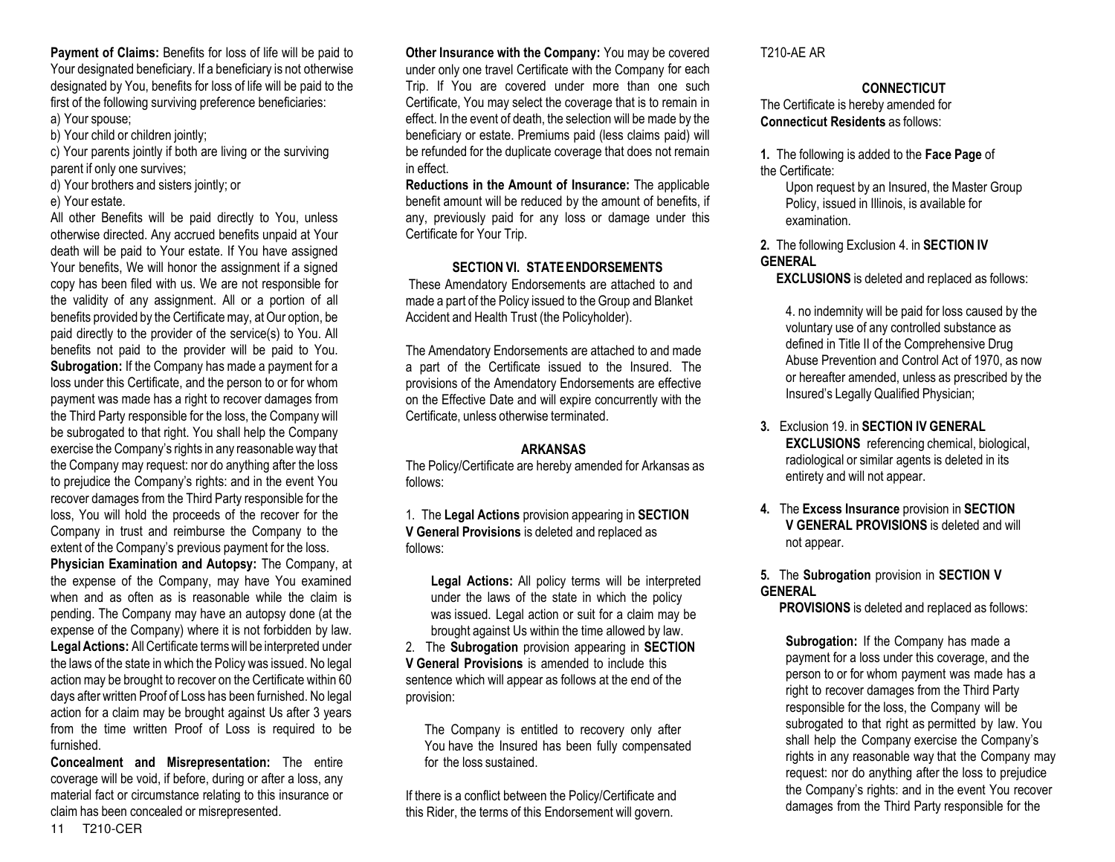**Payment of Claims:** Benefits for loss of life will be paid to Your designated beneficiary. If a beneficiary is not otherwise designated by You, benefits for loss of life will be paid to the first of the following surviving preference beneficiaries: a) Your spouse;

b) Your child or children jointly;

c) Your parents jointly if both are living or the surviving parent if only one survives;

- d) Your brothers and sisters jointly; or
- e) Your estate.

All other Benefits will be paid directly to You, unless otherwise directed. Any accrued benefits unpaid at Your death will be paid to Your estate. If You have assigned Your benefits, We will honor the assignment if a signed copy has been filed with us. We are not responsible for the validity of any assignment. All or a portion of all benefits provided by the Certificate may, at Our option, be paid directly to the provider of the service(s) to You. All benefits not paid to the provider will be paid to You. **Subrogation:** If the Company has made a payment for a loss under this Certificate, and the person to or for whom payment was made has a right to recover damages from the Third Party responsible for the loss, the Company will be subrogated to that right. You shall help the Company exercise the Company's rights in any reasonable way that the Company may request: nor do anything after the loss to prejudice the Company's rights: and in the event You recover damages from the Third Party responsible for the loss, You will hold the proceeds of the recover for the Company in trust and reimburse the Company to the extent of the Company's previous payment for the loss.

**Physician Examination and Autopsy:** The Company, at the expense of the Company, may have You examined when and as often as is reasonable while the claim is pending. The Company may have an autopsy done (at the expense of the Company) where it is not forbidden by law. **Legal Actions:** All Certificate termswill be interpreted under the laws of the state in which the Policy was issued. No legal action may be brought to recover on the Certificate within 60 days after written Proof of Loss has been furnished. No legal action for a claim may be brought against Us after 3 years from the time written Proof of Loss is required to be furnished.

**Concealment and Misrepresentation:** The entire coverage will be void, if before, during or after a loss, any material fact or circumstance relating to this insurance or claim has been concealed or misrepresented.

**Other Insurance with the Company:** You may be covered under only one travel Certificate with the Company for each Trip. If You are covered under more than one such Certificate, You may select the coverage that is to remain in effect. In the event of death, the selection will be made by the beneficiary or estate. Premiums paid (less claims paid) will be refunded for the duplicate coverage that does not remain in effect.

**Reductions in the Amount of Insurance:** The applicable benefit amount will be reduced by the amount of benefits, if any, previously paid for any loss or damage under this Certificate for Your Trip.

## **SECTION VI. STATE ENDORSEMENTS**

These Amendatory Endorsements are attached to and made a part of the Policy issued to the Group and Blanket Accident and Health Trust (the Policyholder).

The Amendatory Endorsements are attached to and made a part of the Certificate issued to the Insured. The provisions of the Amendatory Endorsements are effective on the Effective Date and will expire concurrently with the Certificate, unless otherwise terminated.

## **ARKANSAS**

The Policy/Certificate are hereby amended for Arkansas as follows:

1. The **Legal Actions** provision appearing in **SECTION V General Provisions** is deleted and replaced as follows:

**Legal Actions:** All policy terms will be interpreted under the laws of the state in which the policy was issued. Legal action or suit for a claim may be brought against Us within the time allowed by law.

2. The **Subrogation** provision appearing in **SECTION V General Provisions** is amended to include this sentence which will appear as follows at the end of the provision:

The Company is entitled to recovery only after You have the Insured has been fully compensated for the loss sustained.

If there is a conflict between the Policy/Certificate and this Rider, the terms of this Endorsement will govern.

T210-AE AR

## **CONNECTICUT**

The Certificate is hereby amended for **Connecticut Residents** as follows:

**1.** The following is added to the **Face Page** of the Certificate:

Upon request by an Insured, the Master Group Policy, issued in Illinois, is available for examination.

### **2.** The following Exclusion 4. in **SECTION IV GENERAL**

**EXCLUSIONS** is deleted and replaced as follows:

4. no indemnity will be paid for loss caused by the voluntary use of any controlled substance as defined in Title II of the Comprehensive Drug Abuse Prevention and Control Act of 1970, as now or hereafter amended, unless as prescribed by the Insured's Legally Qualified Physician;

**3.** Exclusion 19. in **SECTION IV GENERAL EXCLUSIONS** referencing chemical, biological, radiological or similar agents is deleted in its entirety and will not appear.

- **4.** The **Excess Insurance** provision in **SECTION V GENERAL PROVISIONS** is deleted and will not appear.
- **5.** The **Subrogation** provision in **SECTION V GENERAL**

 **PROVISIONS** is deleted and replaced as follows:

**Subrogation:** If the Company has made a payment for a loss under this coverage, and the person to or for whom payment was made has a right to recover damages from the Third Party responsible for the loss, the Company will be subrogated to that right as permitted by law. You shall help the Company exercise the Company's rights in any reasonable way that the Company may request: nor do anything after the loss to prejudice the Company's rights: and in the event You recover damages from the Third Party responsible for the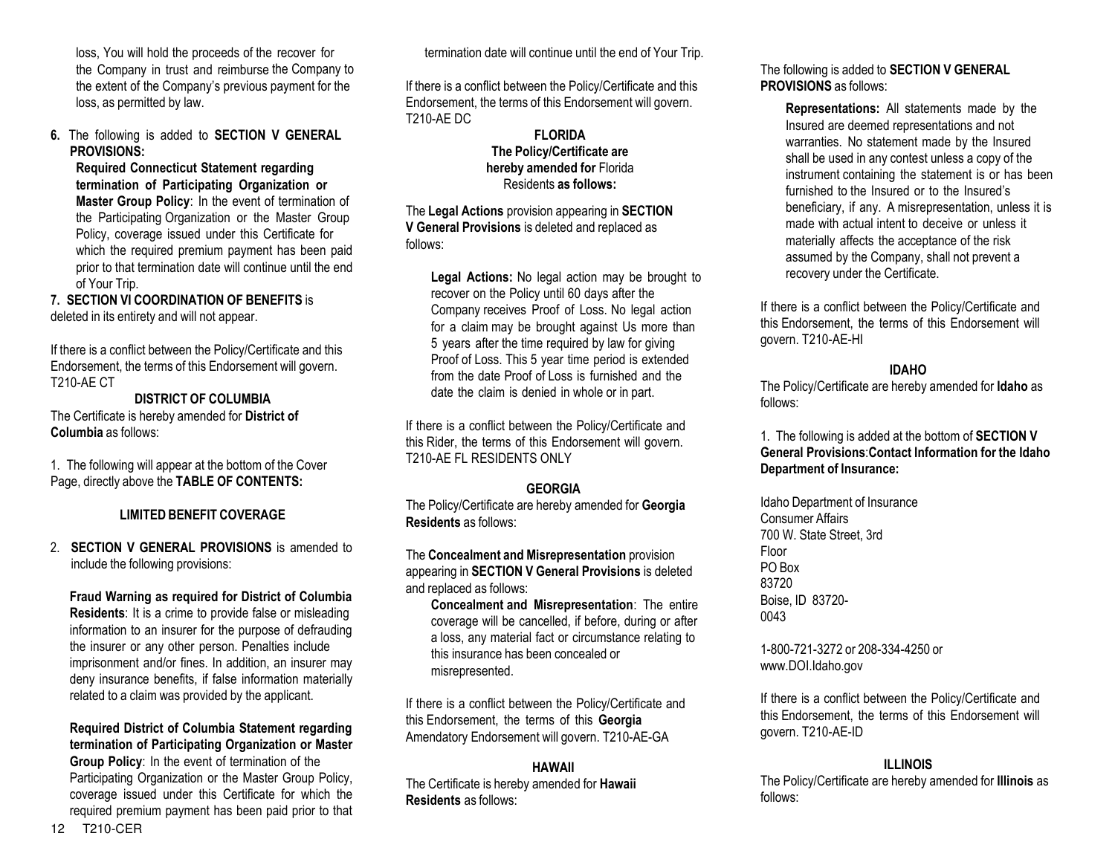loss, You will hold the proceeds of the recover for the Company in trust and reimburse the Company to the extent of the Company's previous payment for the loss, as permitted by law.

**6.** The following is added to **SECTION V GENERAL PROVISIONS:**

**Required Connecticut Statement regarding termination of Participating Organization or Master Group Policy**: In the event of termination of the Participating Organization or the Master Group Policy, coverage issued under this Certificate for which the required premium payment has been paid prior to that termination date will continue until the end of Your Trip.

## **7. SECTION VI COORDINATION OF BENEFITS** is deleted in its entirety and will not appear.

If there is a conflict between the Policy/Certificate and this Endorsement, the terms of this Endorsement will govern. T210-AE CT

**DISTRICT OF COLUMBIA** The Certificate is hereby amended for **District of Columbia** as follows:

1. The following will appear at the bottom of the Cover Page, directly above the **TABLE OF CONTENTS:**

## **LIMITED BENEFIT COVERAGE**

2. **SECTION V GENERAL PROVISIONS** is amended to include the following provisions:

**Fraud Warning as required for District of Columbia Residents**: It is a crime to provide false or misleading information to an insurer for the purpose of defrauding the insurer or any other person. Penalties include imprisonment and/or fines. In addition, an insurer may deny insurance benefits, if false information materially related to a claim was provided by the applicant.

**Required District of Columbia Statement regarding termination of Participating Organization or Master Group Policy**: In the event of termination of the Participating Organization or the Master Group Policy, coverage issued under this Certificate for which the required premium payment has been paid prior to that termination date will continue until the end of Your Trip.

If there is a conflict between the Policy/Certificate and this Endorsement, the terms of this Endorsement will govern. T210-AE DC

#### **FLORIDA The Policy/Certificate are hereby amended for** Florida Residents **as follows:**

The **Legal Actions** provision appearing in **SECTION V General Provisions** is deleted and replaced as follows:

**Legal Actions:** No legal action may be brought to recover on the Policy until 60 days after the Company receives Proof of Loss. No legal action for a claim may be brought against Us more than 5 years after the time required by law for giving Proof of Loss. This 5 year time period is extended from the date Proof of Loss is furnished and the date the claim is denied in whole or in part.

If there is a conflict between the Policy/Certificate and this Rider, the terms of this Endorsement will govern. T210-AE FL RESIDENTS ONLY

## **GEORGIA**

The Policy/Certificate are hereby amended for **Georgia Residents** as follows:

The **Concealment and Misrepresentation** provision appearing in **SECTION V General Provisions** is deleted and replaced as follows:

**Concealment and Misrepresentation**: The entire coverage will be cancelled, if before, during or after a loss, any material fact or circumstance relating to this insurance has been concealed or misrepresented.

If there is a conflict between the Policy/Certificate and this Endorsement, the terms of this **Georgia**  Amendatory Endorsement will govern. T210-AE-GA

#### **HAWAII**

The Certificate is hereby amended for **Hawaii Residents** as follows:

#### The following is added to **SECTION V GENERAL PROVISIONS** as follows:

**Representations:** All statements made by the Insured are deemed representations and not warranties. No statement made by the Insured shall be used in any contest unless a copy of the instrument containing the statement is or has been furnished to the Insured or to the Insured's beneficiary, if any. A misrepresentation, unless it is made with actual intent to deceive or unless it materially affects the acceptance of the risk assumed by the Company, shall not prevent a recovery under the Certificate.

If there is a conflict between the Policy/Certificate and this Endorsement, the terms of this Endorsement will govern. T210-AE-HI

## **IDAHO**

The Policy/Certificate are hereby amended for **Idaho** as follows:

1. The following is added at the bottom of **SECTION V General Provisions**:**Contact Information for the Idaho Department of Insurance:**

Idaho Department of Insurance Consumer Affairs 700 W. State Street, 3rd Floor PO Box 83720 Boise, ID 83720- 0043

1-800-721-3272 or 208-334-4250 or [www.DOI.Idaho.gov](http://www.doi.idaho.gov/) 

If there is a conflict between the Policy/Certificate and this Endorsement, the terms of this Endorsement will govern. T210-AE-ID

## **ILLINOIS**

The Policy/Certificate are hereby amended for **Illinois** as follows: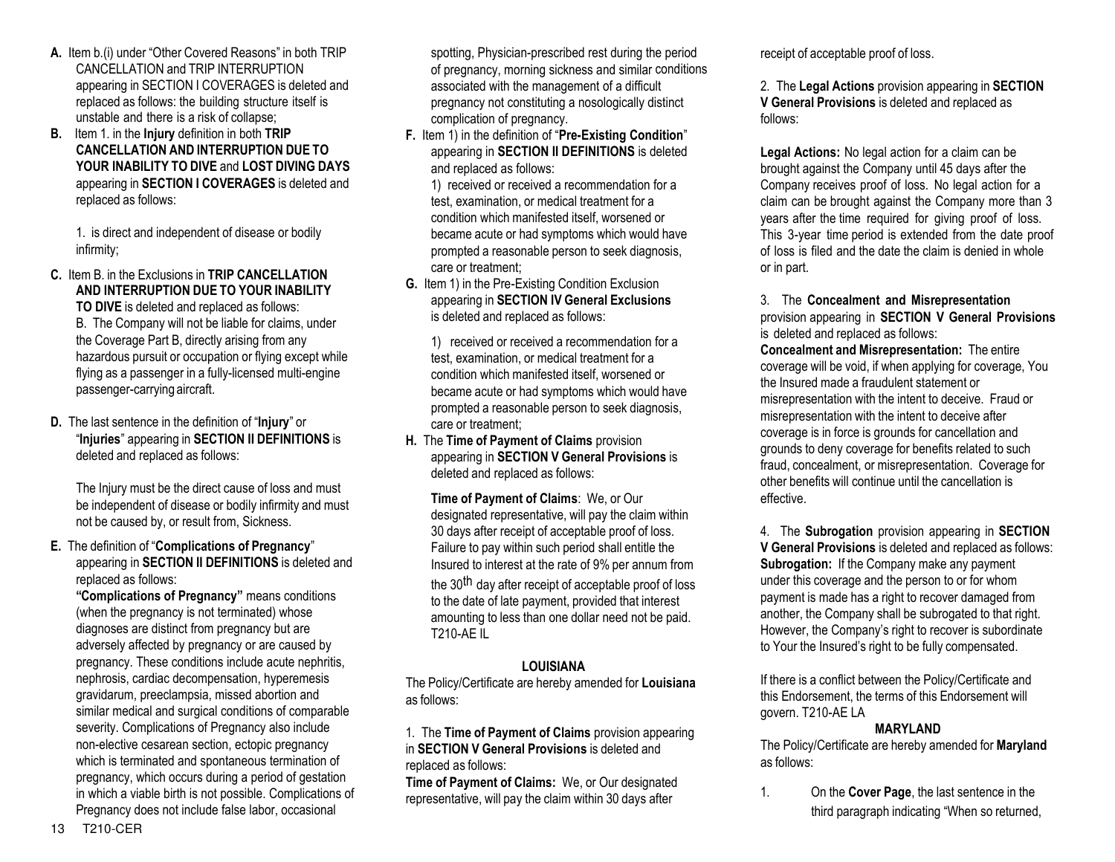- **A.** Item b.(i) under "Other Covered Reasons" in both TRIP CANCELLATION and TRIP INTERRUPTION appearing in SECTION I COVERAGES is deleted and replaced as follows: the building structure itself is unstable and there is a risk of collapse;
- **B.** Item 1. in the **Injury** definition in both **TRIP CANCELLATION AND INTERRUPTION DUE TO YOUR INABILITY TO DIVE** and **LOST DIVING DAYS**  appearing in **SECTION I COVERAGES** is deleted and replaced as follows:

1. is direct and independent of disease or bodily infirmity;

- **C.** Item B. in the Exclusions in **TRIP CANCELLATION AND INTERRUPTION DUE TO YOUR INABILITY TO DIVE** is deleted and replaced as follows: B. The Company will not be liable for claims, under the Coverage Part B, directly arising from any hazardous pursuit or occupation or flying except while flying as a passenger in a fully-licensed multi-engine passenger-carrying aircraft.
- **D.** The last sentence in the definition of "**Injury**" or "**Injuries**" appearing in **SECTION II DEFINITIONS** is deleted and replaced as follows:

The Injury must be the direct cause of loss and must be independent of disease or bodily infirmity and must not be caused by, or result from, Sickness.

**E.** The definition of "**Complications of Pregnancy**" appearing in **SECTION II DEFINITIONS** is deleted and replaced as follows:

**"Complications of Pregnancy"** means conditions (when the pregnancy is not terminated) whose diagnoses are distinct from pregnancy but are adversely affected by pregnancy or are caused by pregnancy. These conditions include acute nephritis, nephrosis, cardiac decompensation, hyperemesis gravidarum, preeclampsia, missed abortion and similar medical and surgical conditions of comparable severity. Complications of Pregnancy also include non-elective cesarean section, ectopic pregnancy which is terminated and spontaneous termination of pregnancy, which occurs during a period of gestation in which a viable birth is not possible. Complications of Pregnancy does not include false labor, occasional

spotting, Physician-prescribed rest during the period of pregnancy, morning sickness and similar conditions associated with the management of a difficult pregnancy not constituting a nosologically distinct complication of pregnancy.

**F.** Item 1) in the definition of "**Pre-Existing Condition**" appearing in **SECTION II DEFINITIONS** is deleted and replaced as follows:

1) received or received a recommendation for a test, examination, or medical treatment for a condition which manifested itself, worsened or became acute or had symptoms which would have prompted a reasonable person to seek diagnosis, care or treatment;

**G.** Item 1) in the Pre-Existing Condition Exclusion appearing in **SECTION IV General Exclusions** is deleted and replaced as follows:

1) received or received a recommendation for a test, examination, or medical treatment for a condition which manifested itself, worsened or became acute or had symptoms which would have prompted a reasonable person to seek diagnosis, care or treatment;

**H.** The **Time of Payment of Claims** provision appearing in **SECTION V General Provisions** is deleted and replaced as follows:

**Time of Payment of Claims**: We, or Our designated representative, will pay the claim within 30 days after receipt of acceptable proof of loss. Failure to pay within such period shall entitle the Insured to interest at the rate of 9% per annum from the 30<sup>th</sup> day after receipt of acceptable proof of loss to the date of late payment, provided that interest amounting to less than one dollar need not be paid. T210-AE IL

## **LOUISIANA**

The Policy/Certificate are hereby amended for **Louisiana** as follows:

1. The **Time of Payment of Claims** provision appearing in **SECTION V General Provisions** is deleted and replaced as follows:

**Time of Payment of Claims:** We, or Our designated representative, will pay the claim within 30 days after

receipt of acceptable proof of loss.

2. The **Legal Actions** provision appearing in **SECTION V General Provisions** is deleted and replaced as follows:

**Legal Actions:** No legal action for a claim can be brought against the Company until 45 days after the Company receives proof of loss. No legal action for a claim can be brought against the Company more than 3 years after the time required for giving proof of loss. This 3-year time period is extended from the date proof of loss is filed and the date the claim is denied in whole or in part.

3. The **Concealment and Misrepresentation**  provision appearing in **SECTION V General Provisions** is deleted and replaced as follows:

**Concealment and Misrepresentation:** The entire coverage will be void, if when applying for coverage, You the Insured made a fraudulent statement or misrepresentation with the intent to deceive. Fraud or misrepresentation with the intent to deceive after coverage is in force is grounds for cancellation and grounds to deny coverage for benefits related to such fraud, concealment, or misrepresentation. Coverage for other benefits will continue until the cancellation is effective.

4. The **Subrogation** provision appearing in **SECTION V General Provisions** is deleted and replaced as follows: **Subrogation:** If the Company make any payment under this coverage and the person to or for whom payment is made has a right to recover damaged from another, the Company shall be subrogated to that right. However, the Company's right to recover is subordinate to Your the Insured's right to be fully compensated.

If there is a conflict between the Policy/Certificate and this Endorsement, the terms of this Endorsement will govern. T210-AE LA

## **MARYLAND**

The Policy/Certificate are hereby amended for **Maryland** as follows:

1. On the **Cover Page**, the last sentence in the third paragraph indicating "When so returned,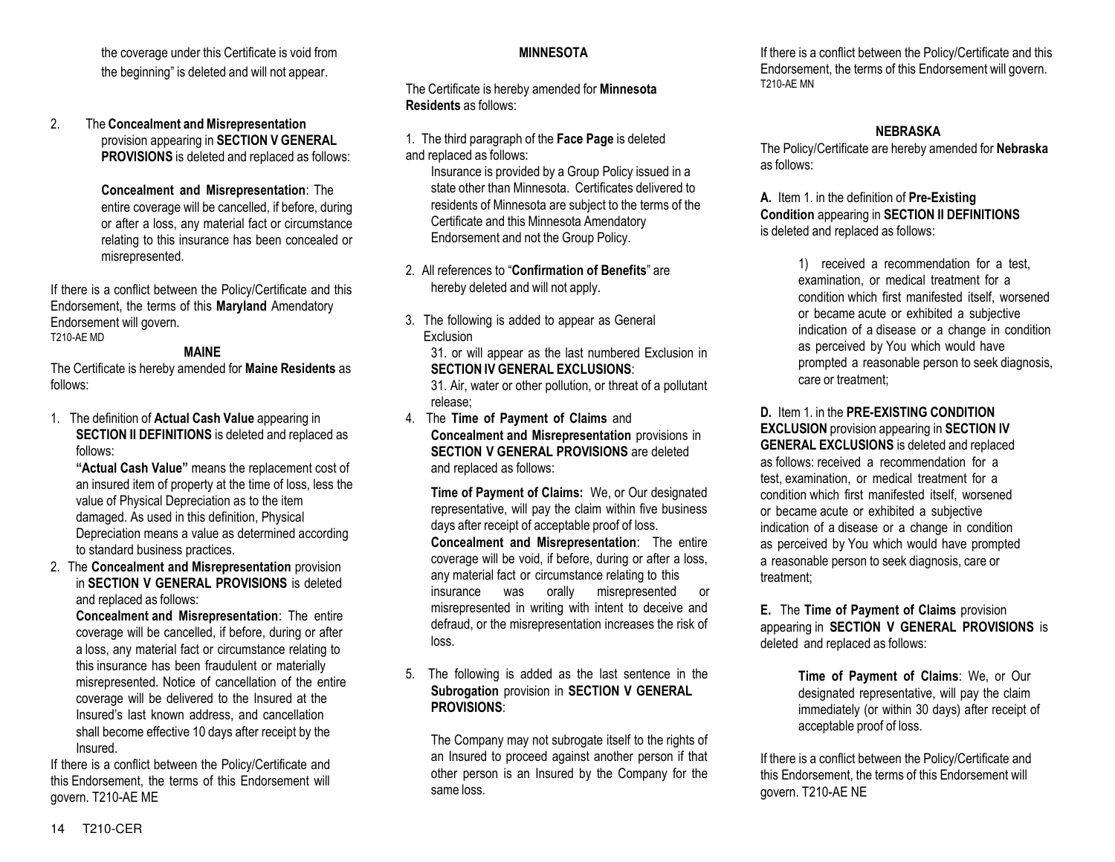the coverage under this Certificate is void from the beginning" is deleted and will not appear.

#### 2. The **Concealment and Misrepresentation**  provision appearing in **SECTION V GENERAL PROVISIONS** is deleted and replaced as follows:

**Concealment and Misrepresentation**: The entire coverage will be cancelled, if before, during or after a loss, any material fact or circumstance relating to this insurance has been concealed or misrepresented.

If there is a conflict between the Policy/Certificate and this Endorsement, the terms of this **Maryland** Amendatory Endorsement will govern. T210-AE MD

## **MAINE**

The Certificate is hereby amended for **Maine Residents** as follows:

1. The definition of **Actual Cash Value** appearing in **SECTION II DEFINITIONS** is deleted and replaced as follows:

**"Actual Cash Value"** means the replacement cost of an insured item of property at the time of loss, less the value of Physical Depreciation as to the item damaged. As used in this definition, Physical Depreciation means a value as determined according to standard business practices.

2. The **Concealment and Misrepresentation** provision in **SECTION V GENERAL PROVISIONS** is deleted and replaced as follows:

**Concealment and Misrepresentation**: The entire coverage will be cancelled, if before, during or after a loss, any material fact or circumstance relating to this insurance has been fraudulent or materially misrepresented. Notice of cancellation of the entire coverage will be delivered to the Insured at the Insured's last known address, and cancellation shall become effective 10 days after receipt by the Insured.

If there is a conflict between the Policy/Certificate and this Endorsement, the terms of this Endorsement will govern. T210-AE ME

# **MINNESOTA**

The Certificate is hereby amended for **Minnesota Residents** as follows:

1. The third paragraph of the **Face Page** is deleted and replaced as follows:

Insurance is provided by a Group Policy issued in a state other than Minnesota. Certificates delivered to residents of Minnesota are subject to the terms of the Certificate and this Minnesota Amendatory Endorsement and not the Group Policy.

2. All references to "**Confirmation of Benefits**" are hereby deleted and will not apply.

3. The following is added to appear as General Exclusion

31. or will appear as the last numbered Exclusion in **SECTION IV GENERAL EXCLUSIONS**:

31. Air, water or other pollution, or threat of a pollutant release;

4. The **Time of Payment of Claims** and **Concealment and Misrepresentation** provisions in **SECTION V GENERAL PROVISIONS** are deleted and replaced as follows:

**Time of Payment of Claims:** We, or Our designated representative, will pay the claim within five business days after receipt of acceptable proof of loss. **Concealment and Misrepresentation**: The entire coverage will be void, if before, during or after a loss, any material fact or circumstance relating to this insurance was orally misrepresented or misrepresented in writing with intent to deceive and defraud, or the misrepresentation increases the risk of loss.

#### 5. The following is added as the last sentence in the **Subrogation** provision in **SECTION V GENERAL PROVISIONS**:

The Company may not subrogate itself to the rights of an Insured to proceed against another person if that other person is an Insured by the Company for the same loss.

If there is a conflict between the Policy/Certificate and this Endorsement, the terms of this Endorsement will govern. T210-AE MN

## **NEBRASKA**

The Policy/Certificate are hereby amended for **Nebraska** as follows:

**A.** Item 1. in the definition of **Pre-Existing Condition** appearing in **SECTION II DEFINITIONS**  is deleted and replaced as follows:

> 1) received a recommendation for a test, examination, or medical treatment for a condition which first manifested itself, worsened or became acute or exhibited a subjective indication of a disease or a change in condition as perceived by You which would have prompted a reasonable person to seek diagnosis, care or treatment;

**D.** Item 1. in the **PRE-EXISTING CONDITION EXCLUSION** provision appearing in **SECTION IV GENERAL EXCLUSIONS** is deleted and replaced as follows: received a recommendation for a test, examination, or medical treatment for a condition which first manifested itself, worsened or became acute or exhibited a subjective indication of a disease or a change in condition as perceived by You which would have prompted a reasonable person to seek diagnosis, care or treatment;

**E.** The **Time of Payment of Claims** provision appearing in **SECTION V GENERAL PROVISIONS** is deleted and replaced as follows:

> **Time of Payment of Claims**: We, or Our designated representative, will pay the claim immediately (or within 30 days) after receipt of acceptable proof of loss.

If there is a conflict between the Policy/Certificate and this Endorsement, the terms of this Endorsement will govern. T210-AE NE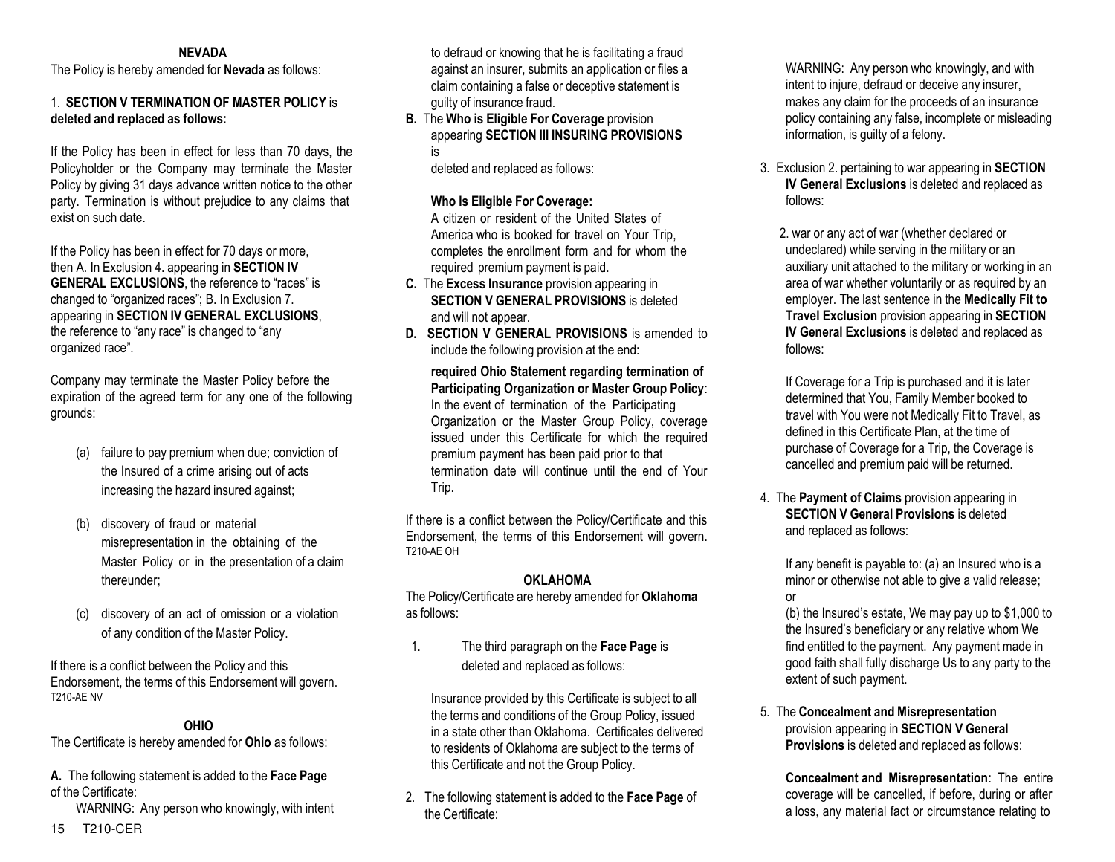#### **NEVADA**

The Policy is hereby amended for **Nevada** as follows:

#### 1. **SECTION V TERMINATION OF MASTER POLICY** is **deleted and replaced as follows:**

If the Policy has been in effect for less than 70 days, the Policyholder or the Company may terminate the Master Policy by giving 31 days advance written notice to the other party. Termination is without prejudice to any claims that exist on such date.

If the Policy has been in effect for 70 days or more, then A. In Exclusion 4. appearing in **SECTION IV GENERAL EXCLUSIONS**, the reference to "races" is changed to "organized races"; B. In Exclusion 7. appearing in **SECTION IV GENERAL EXCLUSIONS**, the reference to "any race" is changed to "any organized race".

Company may terminate the Master Policy before the expiration of the agreed term for any one of the following grounds:

- (a) failure to pay premium when due; conviction of the Insured of a crime arising out of acts increasing the hazard insured against;
- discovery of fraud or material misrepresentation in the obtaining of the Master Policy or in the presentation of a claim thereunder;
- (c) discovery of an act of omission or a violation of any condition of the Master Policy.

If there is a conflict between the Policy and this Endorsement, the terms of this Endorsement will govern. T210-AE NV

#### **OHIO**

The Certificate is hereby amended for **Ohio** as follows:

**A.** The following statement is added to the **Face Page**  of the Certificate:

WARNING: Any person who knowingly, with intent

to defraud or knowing that he is facilitating a fraud against an insurer, submits an application or files a claim containing a false or deceptive statement is guilty of insurance fraud.

**B.** The **Who is Eligible For Coverage** provision appearing **SECTION III INSURING PROVISIONS**  is

deleted and replaced as follows:

### **Who Is Eligible For Coverage:**

A citizen or resident of the United States of America who is booked for travel on Your Trip, completes the enrollment form and for whom the required premium payment is paid.

- **C.** The **Excess Insurance** provision appearing in **SECTION V GENERAL PROVISIONS** is deleted and will not appear.
- **D. SECTION V GENERAL PROVISIONS** is amended to include the following provision at the end:

**required Ohio Statement regarding termination of Participating Organization or Master Group Policy**: In the event of termination of the Participating Organization or the Master Group Policy, coverage issued under this Certificate for which the required premium payment has been paid prior to that termination date will continue until the end of Your Trip.

If there is a conflict between the Policy/Certificate and this Endorsement, the terms of this Endorsement will govern. T210-AE OH

## **OKI AHOMA**

The Policy/Certificate are hereby amended for **Oklahoma** as follows:

1. The third paragraph on the **Face Page** is deleted and replaced as follows:

Insurance provided by this Certificate is subject to all the terms and conditions of the Group Policy, issued in a state other than Oklahoma. Certificates delivered to residents of Oklahoma are subject to the terms of this Certificate and not the Group Policy.

2. The following statement is added to the **Face Page** of the Certificate:

WARNING: Any person who knowingly, and with intent to injure, defraud or deceive any insurer, makes any claim for the proceeds of an insurance policy containing any false, incomplete or misleading information, is guilty of a felony.

3. Exclusion 2. pertaining to war appearing in **SECTION IV General Exclusions** is deleted and replaced as follows:

2. war or any act of war (whether declared or undeclared) while serving in the military or an auxiliary unit attached to the military or working in an area of war whether voluntarily or as required by an employer. The last sentence in the **Medically Fit to Travel Exclusion** provision appearing in **SECTION IV General Exclusions** is deleted and replaced as follows:

If Coverage for a Trip is purchased and it is later determined that You, Family Member booked to travel with You were not Medically Fit to Travel, as defined in this Certificate Plan, at the time of purchase of Coverage for a Trip, the Coverage is cancelled and premium paid will be returned.

4. The **Payment of Claims** provision appearing in **SECTION V General Provisions** is deleted and replaced as follows:

If any benefit is payable to: (a) an Insured who is a minor or otherwise not able to give a valid release; or

(b) the Insured's estate, We may pay up to \$1,000 to the Insured's beneficiary or any relative whom We find entitled to the payment. Any payment made in good faith shall fully discharge Us to any party to the extent of such payment.

5. The **Concealment and Misrepresentation**  provision appearing in **SECTION V General Provisions** is deleted and replaced as follows:

**Concealment and Misrepresentation**: The entire coverage will be cancelled, if before, during or after a loss, any material fact or circumstance relating to

15 T210-CER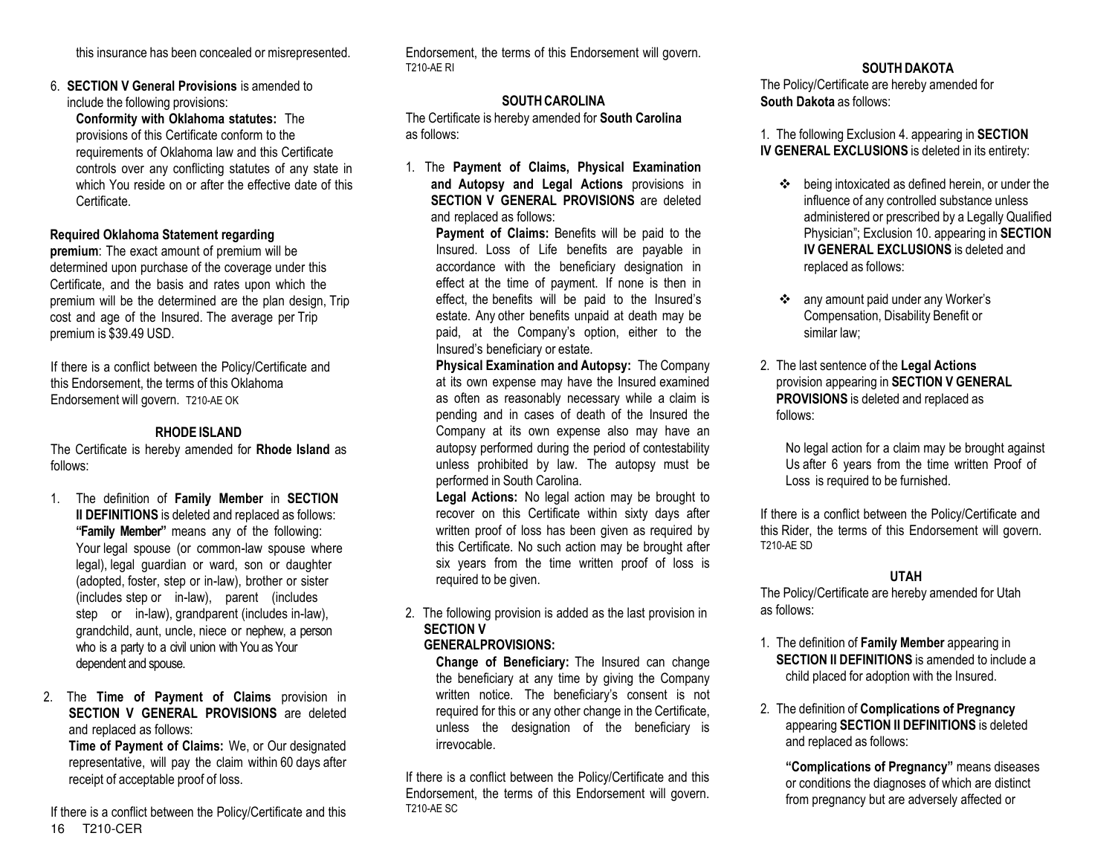this insurance has been concealed or misrepresented.

6. **SECTION V General Provisions** is amended to include the following provisions:

**Conformity with Oklahoma statutes:** The provisions of this Certificate conform to the requirements of Oklahoma law and this Certificate controls over any conflicting statutes of any state in which You reside on or after the effective date of this Certificate.

#### **Required Oklahoma Statement regarding**

**premium**: The exact amount of premium will be determined upon purchase of the coverage under this Certificate, and the basis and rates upon which the premium will be the determined are the plan design, Trip cost and age of the Insured. The average per Trip premium is \$39.49 USD.

If there is a conflict between the Policy/Certificate and this Endorsement, the terms of this Oklahoma Endorsement will govern. T210-AE OK

## **RHODE ISLAND**

The Certificate is hereby amended for **Rhode Island** as follows:

- 1. The definition of **Family Member** in **SECTION II DEFINITIONS** is deleted and replaced as follows: **"Family Member"** means any of the following: Your legal spouse (or common-law spouse where legal), legal guardian or ward, son or daughter (adopted, foster, step or in-law), brother or sister (includes step or in-law), parent (includes step or in-law), grandparent (includes in-law), grandchild, aunt, uncle, niece or nephew, a person who is a party to a civil union with You as Your dependent and spouse.
- 2. The **Time of Payment of Claims** provision in **SECTION V GENERAL PROVISIONS** are deleted and replaced as follows:

**Time of Payment of Claims:** We, or Our designated representative, will pay the claim within 60 days after receipt of acceptable proof of loss.

16 T210-CER If there is a conflict between the Policy/Certificate and this

Endorsement, the terms of this Endorsement will govern. T210-AE RI

## **SOUTH CAROLINA**

The Certificate is hereby amended for **South Carolina**  as follows:

1. The **Payment of Claims, Physical Examination and Autopsy and Legal Actions** provisions in **SECTION V GENERAL PROVISIONS** are deleted and replaced as follows:

> **Payment of Claims:** Benefits will be paid to the Insured. Loss of Life benefits are payable in accordance with the beneficiary designation in effect at the time of payment. If none is then in effect, the benefits will be paid to the Insured's estate. Any other benefits unpaid at death may be paid, at the Company's option, either to the Insured's beneficiary or estate.

**Physical Examination and Autopsy:** The Company at its own expense may have the Insured examined as often as reasonably necessary while a claim is pending and in cases of death of the Insured the Company at its own expense also may have an autopsy performed during the period of contestability unless prohibited by law. The autopsy must be performed in South Carolina.

**Legal Actions:** No legal action may be brought to recover on this Certificate within sixty days after written proof of loss has been given as required by this Certificate. No such action may be brought after six years from the time written proof of loss is required to be given.

2. The following provision is added as the last provision in **SECTION V** 

#### **GENERALPROVISIONS:**

**Change of Beneficiary:** The Insured can change the beneficiary at any time by giving the Company written notice. The beneficiary's consent is not required for this or any other change in the Certificate, unless the designation of the beneficiary is irrevocable.

If there is a conflict between the Policy/Certificate and this Endorsement, the terms of this Endorsement will govern. T210-AE SC

## **SOUTH DAKOTA**

The Policy/Certificate are hereby amended for **South Dakota** as follows:

1. The following Exclusion 4. appearing in **SECTION IV GENERAL EXCLUSIONS** is deleted in its entirety:

- being intoxicated as defined herein, or under the influence of any controlled substance unless administered or prescribed by a Legally Qualified Physician"; Exclusion 10. appearing in **SECTION IV GENERAL EXCLUSIONS** is deleted and replaced as follows:
- any amount paid under any Worker's Compensation, Disability Benefit or similar law;
- 2. The last sentence of the **Legal Actions** provision appearing in **SECTION V GENERAL PROVISIONS** is deleted and replaced as follows:

No legal action for a claim may be brought against Us after 6 years from the time written Proof of Loss is required to be furnished.

If there is a conflict between the Policy/Certificate and this Rider, the terms of this Endorsement will govern. T210-AE SD

#### **UTAH**

The Policy/Certificate are hereby amended for Utah as follows:

- 1. The definition of **Family Member** appearing in **SECTION II DEFINITIONS** is amended to include a child placed for adoption with the Insured.
- 2. The definition of **Complications of Pregnancy** appearing **SECTION II DEFINITIONS** is deleted and replaced as follows:

**"Complications of Pregnancy"** means diseases or conditions the diagnoses of which are distinct from pregnancy but are adversely affected or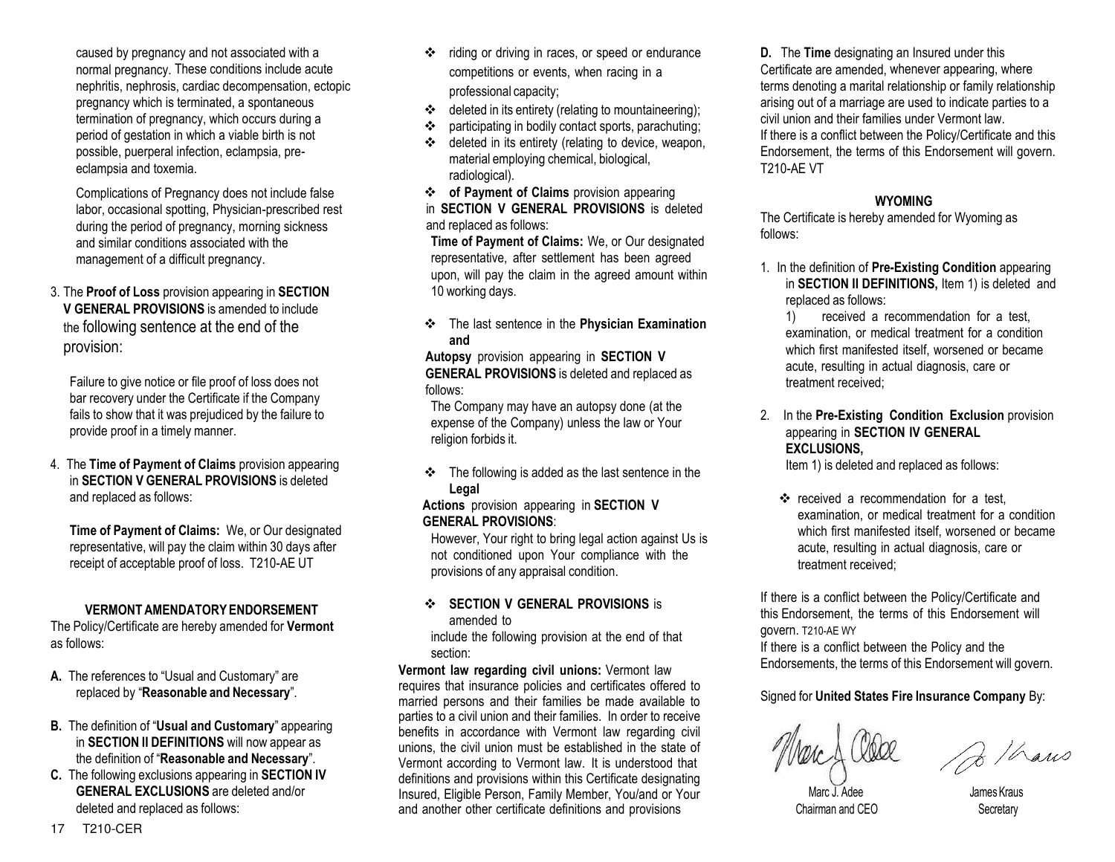caused by pregnancy and not associated with a normal pregnancy. These conditions include acute nephritis, nephrosis, cardiac decompensation, ectopic pregnancy which is terminated, a spontaneous termination of pregnancy, which occurs during a period of gestation in which a viable birth is not possible, puerperal infection, eclampsia, preeclampsia and toxemia.

Complications of Pregnancy does not include false labor, occasional spotting, Physician-prescribed rest during the period of pregnancy, morning sickness and similar conditions associated with the management of a difficult pregnancy.

3. The **Proof of Loss** provision appearing in **SECTION V GENERAL PROVISIONS** is amended to include the following sentence at the end of the provision:

Failure to give notice or file proof of loss does not bar recovery under the Certificate if the Company fails to show that it was prejudiced by the failure to provide proof in a timely manner.

4. The **Time of Payment of Claims** provision appearing in **SECTION V GENERAL PROVISIONS** is deleted and replaced as follows:

**Time of Payment of Claims:** We, or Our designated representative, will pay the claim within 30 days after receipt of acceptable proof of loss. T210-AE UT

## **VERMONT AMENDATORY ENDORSEMENT**

The Policy/Certificate are hereby amended for **Vermont** as follows:

- **A.** The references to "Usual and Customary" are replaced by "**Reasonable and Necessary**".
- **B.** The definition of "**Usual and Customary**" appearing in **SECTION II DEFINITIONS** will now appear as the definition of "**Reasonable and Necessary**".
- **C.** The following exclusions appearing in **SECTION IV GENERAL EXCLUSIONS** are deleted and/or deleted and replaced as follows:
- riding or driving in races, or speed or endurance competitions or events, when racing in a professional capacity;
- $\triangleleft$  deleted in its entirety (relating to mountaineering);
- participating in bodily contact sports, parachuting;
- deleted in its entirety (relating to device, weapon, material employing chemical, biological, radiological).

 **of Payment of Claims** provision appearing in **SECTION V GENERAL PROVISIONS** is deleted and replaced as follows:

**Time of Payment of Claims:** We, or Our designated representative, after settlement has been agreed upon, will pay the claim in the agreed amount within 10 working days.

 The last sentence in the **Physician Examination and**

**Autopsy** provision appearing in **SECTION V GENERAL PROVISIONS** is deleted and replaced as follows:

The Company may have an autopsy done (at the expense of the Company) unless the law or Your religion forbids it.

 $\div$  The following is added as the last sentence in the **Legal**

#### **Actions** provision appearing in **SECTION V GENERAL PROVISIONS**:

However, Your right to bring legal action against Us is not conditioned upon Your compliance with the provisions of any appraisal condition.

#### **SECTION V GENERAL PROVISIONS** is amended to

include the following provision at the end of that section:

**Vermont law regarding civil unions:** Vermont law requires that insurance policies and certificates offered to married persons and their families be made available to parties to a civil union and their families. In order to receive benefits in accordance with Vermont law regarding civil unions, the civil union must be established in the state of Vermont according to Vermont law. It is understood that definitions and provisions within this Certificate designating Insured, Eligible Person, Family Member, You/and or Your and another other certificate definitions and provisions

**D.** The **Time** designating an Insured under this Certificate are amended, whenever appearing, where terms denoting a marital relationship or family relationship arising out of a marriage are used to indicate parties to a civil union and their families under Vermont law. If there is a conflict between the Policy/Certificate and this Endorsement, the terms of this Endorsement will govern. T210-AE VT

# **WYOMING**

The Certificate is hereby amended for Wyoming as follows:

1. In the definition of **Pre-Existing Condition** appearing in **SECTION II DEFINITIONS,** Item 1) is deleted and replaced as follows:

1) received a recommendation for a test, examination, or medical treatment for a condition which first manifested itself, worsened or became acute, resulting in actual diagnosis, care or treatment received;

2. In the **Pre-Existing Condition Exclusion** provision appearing in **SECTION IV GENERAL EXCLUSIONS,**

Item 1) is deleted and replaced as follows:

\* received a recommendation for a test, examination, or medical treatment for a condition which first manifested itself, worsened or became acute, resulting in actual diagnosis, care or treatment received;

If there is a conflict between the Policy/Certificate and this Endorsement, the terms of this Endorsement will govern. T210-AE WY

If there is a conflict between the Policy and the Endorsements, the terms of this Endorsement will govern.

# Signed for **United States Fire Insurance Company** By:

2 / Laws

Chairman and CEO Secretary

James Kraus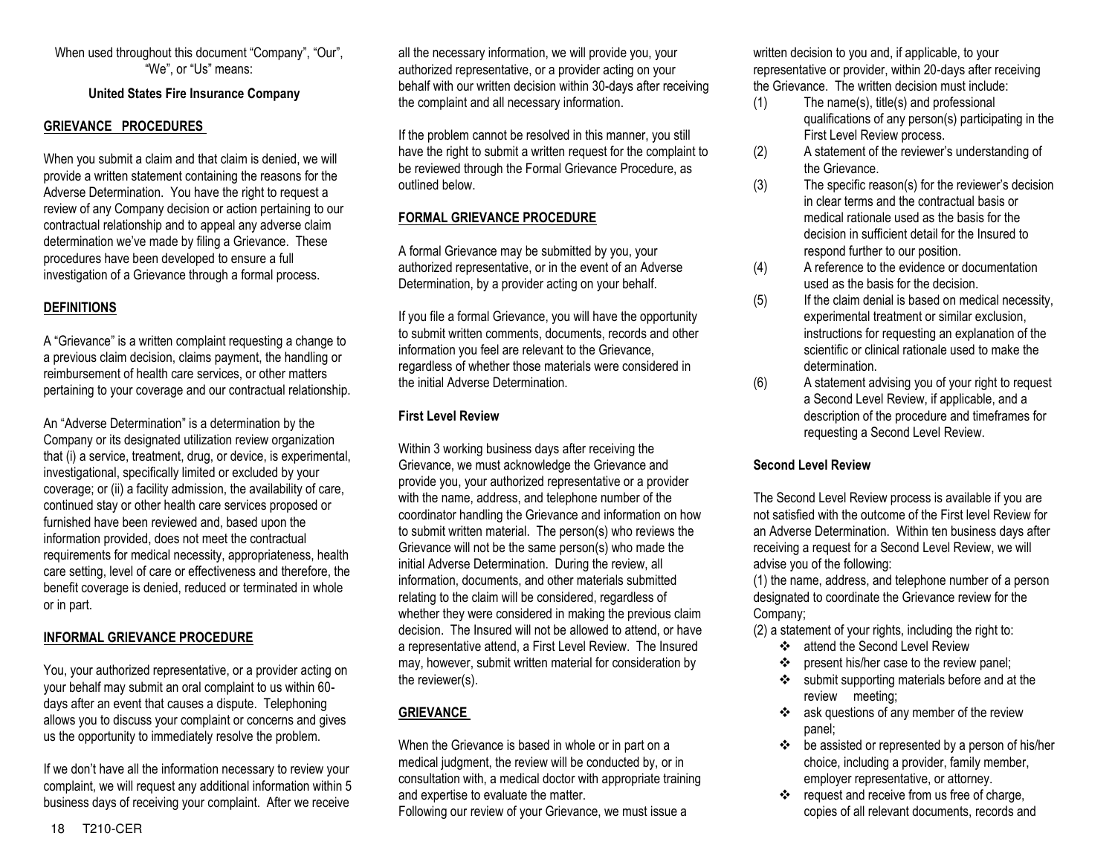When used throughout this document "Company", "Our", "We", or "Us" means:

#### **United States Fire Insurance Company**

#### **GRIEVANCE PROCEDURES**

When you submit a claim and that claim is denied, we will provide a written statement containing the reasons for the Adverse Determination. You have the right to request a review of any Company decision or action pertaining to our contractual relationship and to appeal any adverse claim determination we've made by filing a Grievance. These procedures have been developed to ensure a full investigation of a Grievance through a formal process.

## **DEFINITIONS**

A "Grievance" is a written complaint requesting a change to a previous claim decision, claims payment, the handling or reimbursement of health care services, or other matters pertaining to your coverage and our contractual relationship.

An "Adverse Determination" is a determination by the Company or its designated utilization review organization that (i) a service, treatment, drug, or device, is experimental, investigational, specifically limited or excluded by your coverage; or (ii) a facility admission, the availability of care, continued stay or other health care services proposed or furnished have been reviewed and, based upon the information provided, does not meet the contractual requirements for medical necessity, appropriateness, health care setting, level of care or effectiveness and therefore, the benefit coverage is denied, reduced or terminated in whole or in part.

#### **INFORMAL GRIEVANCE PROCEDURE**

You, your authorized representative, or a provider acting on your behalf may submit an oral complaint to us within 60 days after an event that causes a dispute. Telephoning allows you to discuss your complaint or concerns and gives us the opportunity to immediately resolve the problem.

If we don't have all the information necessary to review your complaint, we will request any additional information within 5 business days of receiving your complaint. After we receive

all the necessary information, we will provide you, your authorized representative, or a provider acting on your behalf with our written decision within 30-days after receiving the complaint and all necessary information.

If the problem cannot be resolved in this manner, you still have the right to submit a written request for the complaint to be reviewed through the Formal Grievance Procedure, as outlined below.

#### **FORMAL GRIEVANCE PROCEDURE**

A formal Grievance may be submitted by you, your authorized representative, or in the event of an Adverse Determination, by a provider acting on your behalf.

If you file a formal Grievance, you will have the opportunity to submit written comments, documents, records and other information you feel are relevant to the Grievance, regardless of whether those materials were considered in the initial Adverse Determination.

#### **First Level Review**

Within 3 working business days after receiving the Grievance, we must acknowledge the Grievance and provide you, your authorized representative or a provider with the name, address, and telephone number of the coordinator handling the Grievance and information on how to submit written material. The person(s) who reviews the Grievance will not be the same person(s) who made the initial Adverse Determination. During the review, all information, documents, and other materials submitted relating to the claim will be considered, regardless of whether they were considered in making the previous claim decision. The Insured will not be allowed to attend, or have a representative attend, a First Level Review. The Insured may, however, submit written material for consideration by the reviewer(s).

# **GRIEVANCE**

When the Grievance is based in whole or in part on a medical judgment, the review will be conducted by, or in consultation with, a medical doctor with appropriate training and expertise to evaluate the matter.

Following our review of your Grievance, we must issue a

written decision to you and, if applicable, to your representative or provider, within 20-days after receiving the Grievance. The written decision must include:

- (1) The name(s), title(s) and professional qualifications of any person(s) participating in the First Level Review process.
- (2) A statement of the reviewer's understanding of the Grievance.
- (3) The specific reason(s) for the reviewer's decision in clear terms and the contractual basis or medical rationale used as the basis for the decision in sufficient detail for the Insured to respond further to our position.
- (4) A reference to the evidence or documentation used as the basis for the decision.
- (5) If the claim denial is based on medical necessity, experimental treatment or similar exclusion, instructions for requesting an explanation of the scientific or clinical rationale used to make the determination.
- (6) A statement advising you of your right to request a Second Level Review, if applicable, and a description of the procedure and timeframes for requesting a Second Level Review.

#### **Second Level Review**

The Second Level Review process is available if you are not satisfied with the outcome of the First level Review for an Adverse Determination. Within ten business days after receiving a request for a Second Level Review, we will advise you of the following:

(1) the name, address, and telephone number of a person designated to coordinate the Grievance review for the Company;

- (2) a statement of your rights, including the right to:
	- **\*** attend the Second Level Review
	- ❖ present his/her case to the review panel:
	- submit supporting materials before and at the review meeting;
	- ask questions of any member of the review panel;
	- $\div$  be assisted or represented by a person of his/her choice, including a provider, family member, employer representative, or attorney.
	- \* request and receive from us free of charge, copies of all relevant documents, records and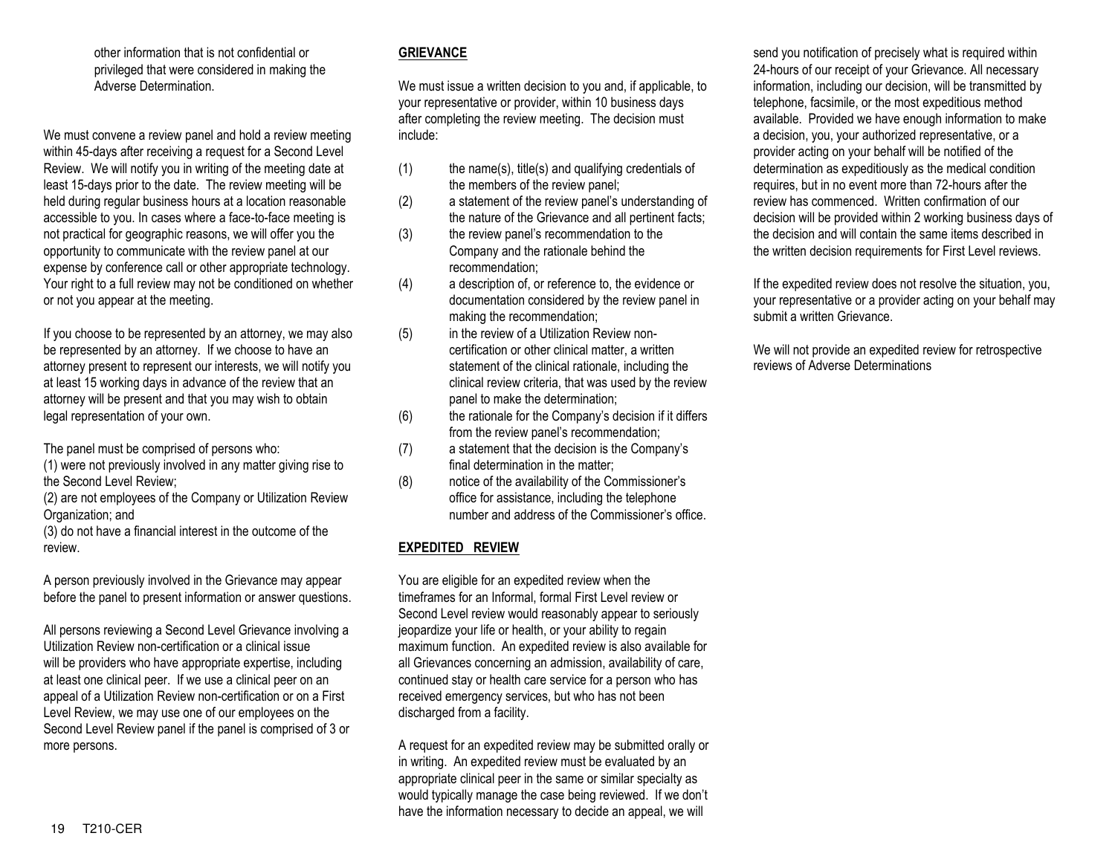other information that is not confidential or privileged that were considered in making the Adverse Determination.

We must convene a review panel and hold a review meeting within 45-days after receiving a request for a Second Level Review. We will notify you in writing of the meeting date at least 15-days prior to the date. The review meeting will be held during regular business hours at a location reasonable accessible to you. In cases where a face-to-face meeting is not practical for geographic reasons, we will offer you the opportunity to communicate with the review panel at our expense by conference call or other appropriate technology. Your right to a full review may not be conditioned on whether or not you appear at the meeting.

If you choose to be represented by an attorney, we may also be represented by an attorney. If we choose to have an attorney present to represent our interests, we will notify you at least 15 working days in advance of the review that an attorney will be present and that you may wish to obtain legal representation of your own.

The panel must be comprised of persons who:

(1) were not previously involved in any matter giving rise to the Second Level Review;

(2) are not employees of the Company or Utilization Review Organization; and

(3) do not have a financial interest in the outcome of the review.

A person previously involved in the Grievance may appear before the panel to present information or answer questions.

All persons reviewing a Second Level Grievance involving a Utilization Review non-certification or a clinical issue will be providers who have appropriate expertise, including at least one clinical peer. If we use a clinical peer on an appeal of a Utilization Review non-certification or on a First Level Review, we may use one of our employees on the Second Level Review panel if the panel is comprised of 3 or more persons.

# **GRIEVANCE**

We must issue a written decision to you and, if applicable, to your representative or provider, within 10 business days after completing the review meeting. The decision must include:

- $(1)$  the name(s), title(s) and qualifying credentials of the members of the review panel;
- (2) a statement of the review panel's understanding of the nature of the Grievance and all pertinent facts;
- (3) the review panel's recommendation to the Company and the rationale behind the recommendation;
- (4) a description of, or reference to, the evidence or documentation considered by the review panel in making the recommendation;
- (5) in the review of a Utilization Review noncertification or other clinical matter, a written statement of the clinical rationale, including the clinical review criteria, that was used by the review panel to make the determination;
- (6) the rationale for the Company's decision if it differs from the review panel's recommendation;
- (7) a statement that the decision is the Company's final determination in the matter;
- (8) notice of the availability of the Commissioner's office for assistance, including the telephone number and address of the Commissioner's office.

## **EXPEDITED REVIEW**

You are eligible for an expedited review when the timeframes for an Informal, formal First Level review or Second Level review would reasonably appear to seriously jeopardize your life or health, or your ability to regain maximum function. An expedited review is also available for all Grievances concerning an admission, availability of care, continued stay or health care service for a person who has received emergency services, but who has not been discharged from a facility.

A request for an expedited review may be submitted orally or in writing. An expedited review must be evaluated by an appropriate clinical peer in the same or similar specialty as would typically manage the case being reviewed. If we don't have the information necessary to decide an appeal, we will

send you notification of precisely what is required within 24-hours of our receipt of your Grievance. All necessary information, including our decision, will be transmitted by telephone, facsimile, or the most expeditious method available. Provided we have enough information to make a decision, you, your authorized representative, or a provider acting on your behalf will be notified of the determination as expeditiously as the medical condition requires, but in no event more than 72-hours after the review has commenced. Written confirmation of our decision will be provided within 2 working business days of the decision and will contain the same items described in the written decision requirements for First Level reviews.

If the expedited review does not resolve the situation, you, your representative or a provider acting on your behalf may submit a written Grievance.

We will not provide an expedited review for retrospective reviews of Adverse Determinations